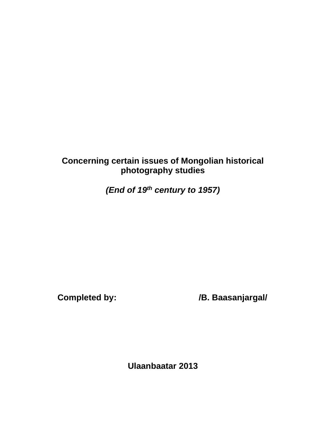# **Concerning certain issues of Mongolian historical photography studies**

*(End of 19th century to 1957)*

**Completed by: /B. Baasanjargal/**

**Ulaanbaatar 2013**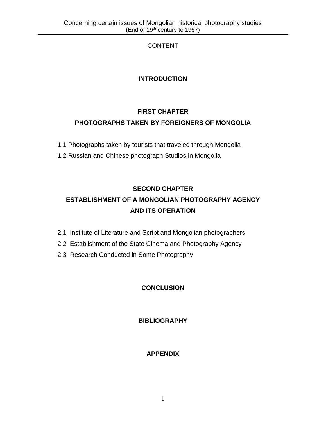# CONTENT

# **INTRODUCTION**

# **FIRST CHAPTER PHOTOGRAPHS TAKEN BY FOREIGNERS OF MONGOLIA**

- 1.1 Photographs taken by tourists that traveled through Mongolia
- 1.2 Russian and Chinese photograph Studios in Mongolia

# **SECOND CHAPTER ESTABLISHMENT OF A MONGOLIAN PHOTOGRAPHY AGENCY AND ITS OPERATION**

- 2.1 Institute of Literature and Script and Mongolian photographers
- 2.2 Establishment of the State Cinema and Photography Agency
- 2.3 Research Conducted in Some Photography

# **CONCLUSION**

# **BIBLIOGRAPHY**

# **APPENDIX**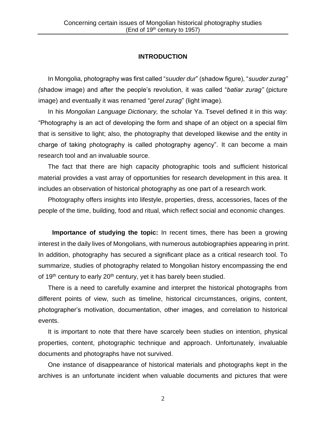### **INTRODUCTION**

In Mongolia, photography was first called "*suuder dur*" (shadow figure), "*suuder zurag" (*shadow image) and after the people's revolution, it was called "*batiar zurag"* (picture image) and eventually it was renamed "*gerel zurag*" (light image).

In his *Mongolian Language Dictionary,* the scholar Ya. Tsevel defined it in this way: "Photography is an act of developing the form and shape of an object on a special film that is sensitive to light; also, the photography that developed likewise and the entity in charge of taking photography is called photography agency". It can become a main research tool and an invaluable source.

The fact that there are high capacity photographic tools and sufficient historical material provides a vast array of opportunities for research development in this area. It includes an observation of historical photography as one part of a research work.

Photography offers insights into lifestyle, properties, dress, accessories, faces of the people of the time, building, food and ritual, which reflect social and economic changes.

**Importance of studying the topic:** In recent times, there has been a growing interest in the daily lives of Mongolians, with numerous autobiographies appearing in print. In addition, photography has secured a significant place as a critical research tool. To summarize, studies of photography related to Mongolian history encompassing the end of 19<sup>th</sup> century to early 20<sup>th</sup> century, yet it has barely been studied.

There is a need to carefully examine and interpret the historical photographs from different points of view, such as timeline, historical circumstances, origins, content, photographer's motivation, documentation, other images, and correlation to historical events.

It is important to note that there have scarcely been studies on intention, physical properties, content, photographic technique and approach. Unfortunately, invaluable documents and photographs have not survived.

One instance of disappearance of historical materials and photographs kept in the archives is an unfortunate incident when valuable documents and pictures that were

2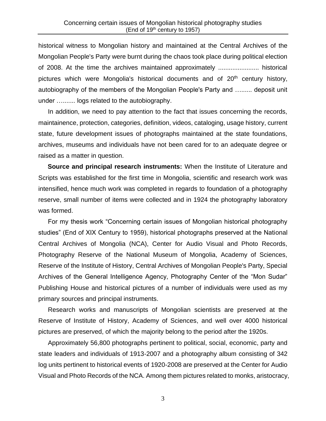historical witness to Mongolian history and maintained at the Central Archives of the Mongolian People's Party were burnt during the chaos took place during political election of 2008. At the time the archives maintained approximately ....................... historical pictures which were Mongolia's historical documents and of  $20<sup>th</sup>$  century history, autobiography of the members of the Mongolian People's Party and …...... deposit unit under …....... logs related to the autobiography.

In addition, we need to pay attention to the fact that issues concerning the records, maintainence, protection, categories, definition, videos, cataloging, usage history, current state, future development issues of photographs maintained at the state foundations, archives, museums and individuals have not been cared for to an adequate degree or raised as a matter in question.

**Source and principal research instruments:** When the Institute of Literature and Scripts was established for the first time in Mongolia, scientific and research work was intensified, hence much work was completed in regards to foundation of a photography reserve, small number of items were collected and in 1924 the photography laboratory was formed.

For my thesis work "Concerning certain issues of Mongolian historical photography studies" (End of XIX Century to 1959), historical photographs preserved at the National Central Archives of Mongolia (NCA), Center for Audio Visual and Photo Records, Photography Reserve of the National Museum of Mongolia, Academy of Sciences, Reserve of the Institute of History, Central Archives of Mongolian People's Party, Special Archives of the General Intelligence Agency, Photography Center of the "Mon Sudar" Publishing House and historical pictures of a number of individuals were used as my primary sources and principal instruments.

Research works and manuscripts of Mongolian scientists are preserved at the Reserve of Institute of History, Academy of Sciences, and well over 4000 historical pictures are preserved, of which the majority belong to the period after the 1920s.

Approximately 56,800 photographs pertinent to political, social, economic, party and state leaders and individuals of 1913-2007 and a photography album consisting of 342 log units pertinent to historical events of 1920-2008 are preserved at the Center for Audio Visual and Photo Records of the NCA. Among them pictures related to monks, aristocracy,

3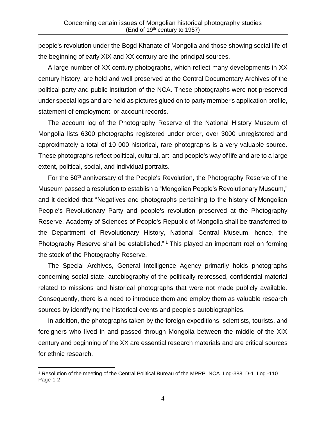people's revolution under the Bogd Khanate of Mongolia and those showing social life of the beginning of early XIX and XX century are the principal sources.

A large number of XX century photographs, which reflect many developments in XX century history, are held and well preserved at the Central Documentary Archives of the political party and public institution of the NCA. These photographs were not preserved under special logs and are held as pictures glued on to party member's application profile, statement of employment, or account records.

The account log of the Photography Reserve of the National History Museum of Mongolia lists 6300 photographs registered under order, over 3000 unregistered and approximately a total of 10 000 historical, rare photographs is a very valuable source. These photographs reflect political, cultural, art, and people's way of life and are to a large extent, political, social, and individual portraits.

For the 50<sup>th</sup> anniversary of the People's Revolution, the Photography Reserve of the Museum passed a resolution to establish a "Mongolian People's Revolutionary Museum," and it decided that "Negatives and photographs pertaining to the history of Mongolian People's Revolutionary Party and people's revolution preserved at the Photography Reserve, Academy of Sciences of People's Republic of Mongolia shall be transferred to the Department of Revolutionary History, National Central Museum, hence, the Photography Reserve shall be established."<sup>1</sup> This played an important roel on forming the stock of the Photography Reserve.

The Special Archives, General Intelligence Agency primarily holds photographs concerning social state, autobiography of the politically repressed, confidential material related to missions and historical photographs that were not made publicly available. Consequently, there is a need to introduce them and employ them as valuable research sources by identifying the historical events and people's autobiographies.

In addition, the photographs taken by the foreign expeditions, scientists, tourists, and foreigners who lived in and passed through Mongolia between the middle of the XIX century and beginning of the XX are essential research materials and are critical sources for ethnic research.

<sup>1</sup> Resolution of the meeting of the Central Political Bureau of the MPRP. NCA. Log-388. D-1. Log -110. Page-1-2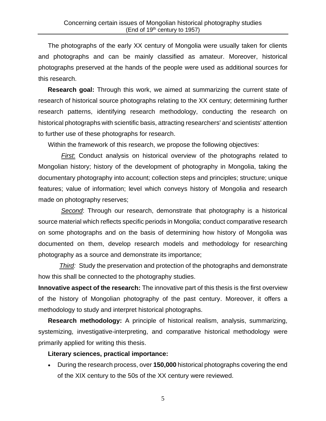The photographs of the early XX century of Mongolia were usually taken for clients and photographs and can be mainly classified as amateur. Moreover, historical photographs preserved at the hands of the people were used as additional sources for this research.

**Research goal:** Through this work, we aimed at summarizing the current state of research of historical source photographs relating to the XX century; determining further research patterns, identifying research methodology, conducting the research on historical photographs with scientific basis, attracting researchers' and scientists' attention to further use of these photographs for research.

Within the framework of this research, we propose the following objectives:

*First*: Conduct analysis on historical overview of the photographs related to Mongolian history; history of the development of photography in Mongolia, taking the documentary photography into account; collection steps and principles; structure; unique features; value of information; level which conveys history of Mongolia and research made on photography reserves;

*Second*: Through our research, demonstrate that photography is a historical source material which reflects specific periods in Mongolia; conduct comparative research on some photographs and on the basis of determining how history of Mongolia was documented on them, develop research models and methodology for researching photography as a source and demonstrate its importance;

*Third:* Study the preservation and protection of the photographs and demonstrate how this shall be connected to the photography studies.

**Innovative aspect of the research:** The innovative part of this thesis is the first overview of the history of Mongolian photography of the past century. Moreover, it offers a methodology to study and interpret historical photographs.

**Research methodology:** A principle of historical realism, analysis, summarizing, systemizing, investigative-interpreting, and comparative historical methodology were primarily applied for writing this thesis.

### **Literary sciences, practical importance:**

• During the research process, over **150,000** historical photographs covering the end of the XIX century to the 50s of the XX century were reviewed.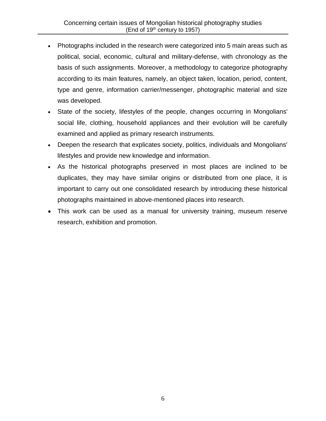- Photographs included in the research were categorized into 5 main areas such as political, social, economic, cultural and military-defense, with chronology as the basis of such assignments. Moreover, a methodology to categorize photography according to its main features, namely, an object taken, location, period, content, type and genre, information carrier/messenger, photographic material and size was developed.
- State of the society, lifestyles of the people, changes occurring in Mongolians' social life, clothing, household appliances and their evolution will be carefully examined and applied as primary research instruments.
- Deepen the research that explicates society, politics, individuals and Mongolians' lifestyles and provide new knowledge and information.
- As the historical photographs preserved in most places are inclined to be duplicates, they may have similar origins or distributed from one place, it is important to carry out one consolidated research by introducing these historical photographs maintained in above-mentioned places into research.
- This work can be used as a manual for university training, museum reserve research, exhibition and promotion.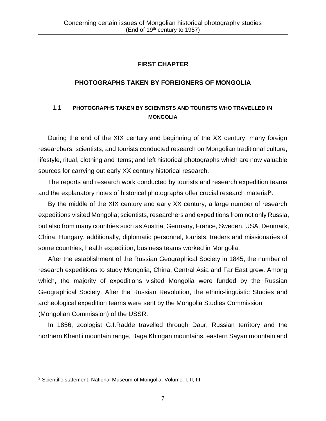# **FIRST CHAPTER**

## **PHOTOGRAPHS TAKEN BY FOREIGNERS OF MONGOLIA**

# 1.1 **PHOTOGRAPHS TAKEN BY SCIENTISTS AND TOURISTS WHO TRAVELLED IN MONGOLIA**

During the end of the XIX century and beginning of the XX century, many foreign researchers, scientists, and tourists conducted research on Mongolian traditional culture, lifestyle, ritual, clothing and items; and left historical photographs which are now valuable sources for carrying out early XX century historical research.

The reports and research work conducted by tourists and research expedition teams and the explanatory notes of historical photographs offer crucial research material<sup>2</sup>.

By the middle of the XIX century and early XX century, a large number of research expeditions visited Mongolia; scientists, researchers and expeditions from not only Russia, but also from many countries such as Austria, Germany, France, Sweden, USA, Denmark, China, Hungary, additionally, diplomatic personnel, tourists, traders and missionaries of some countries, health expedition, business teams worked in Mongolia.

After the establishment of the Russian Geographical Society in 1845, the number of research expeditions to study Mongolia, China, Central Asia and Far East grew. Among which, the majority of expeditions visited Mongolia were funded by the Russian Geographical Society. After the Russian Revolution, the ethnic-linguistic Studies and archeological expedition teams were sent by the Mongolia Studies Commission (Mongolian Commission) of the USSR.

In 1856, zoologist G.I.Radde travelled through Daur, Russian territory and the northern Khentii mountain range, Baga Khingan mountains, eastern Sayan mountain and

<sup>&</sup>lt;sup>2</sup> Scientific statement. National Museum of Mongolia. Volume. I, II, III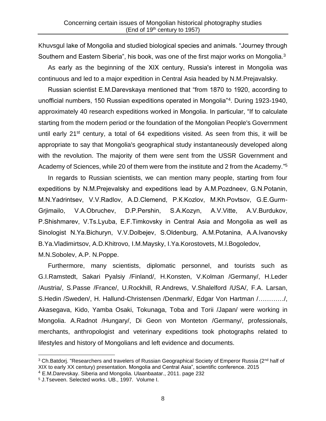Khuvsgul lake of Mongolia and studied biological species and animals. "Journey through Southern and Eastern Siberia", his book, was one of the first major works on Mongolia.<sup>3</sup>

As early as the beginning of the ХIХ century, Russia's interest in Mongolia was continuous and led to a major expedition in Central Asia headed by N.M.Prejavalsky.

Russian scientist E.M.Darevskaya mentioned that "from 1870 to 1920, according to unofficial numbers, 150 Russian expeditions operated in Mongolia"<sup>4</sup> . During 1923-1940, approximately 40 research expeditions worked in Mongolia. In particular, "If to calculate starting from the modern period or the foundation of the Mongolian People's Government until early  $21^{st}$  century, a total of 64 expeditions visited. As seen from this, it will be appropriate to say that Mongolia's geographical study instantaneously developed along with the revolution. The majority of them were sent from the USSR Government and Academy of Sciences, while 20 of them were from the institute and 2 from the Academy."<sup>5</sup>

In regards to Russian scientists, we can mention many people, starting from four expeditions by N.M.Prejevalsky and expeditions lead by А.M.Pozdneev, G.N.Potanin, М.N.Yadrintsev, V.V.Radlov, А.D.Clemend, P.К.Kozlov, М.Kh.Povtsov, G.Е.Gurm-Grjimailo, V.А.Obruchev, D.P.Pershin, S.А.Kozyn, А.V.Vitte, А.V.Burdukov, P.Shishmarev, V.Ts.Lyuba, Е.F.Timkovsky in Central Asia and Mongolia as well as Sinologist N.Ya.Bichuryn, V.V.Dolbejev, S.Oldenburg, А.М.Potanina, А.А.Ivanovsky B.Ya.Vladimirtsov, A.D.Khitrovo, I.M.Maysky, I.Ya.Korostovets, M.I.Bogoledov, M.N.Sobolev, A.P. N.Poppe.

Furthermore, many scientists, diplomatic personnel, and tourists such as G.I.Ramstedt, Sakari Pyalsiy /Finland/, H.Konsten, V.Kolman /Germany/, H.Leder /Austria/, S.Passe /France/, U.Rockhill, R.Andrews, V.Shalelford /USA/, F.A. Larsan, S.Hedin /Sweden/, H. Hallund-Christensen /Denmark/, Edgar Von Hartman /…………/, Akasegava, Kido, Yamba Osaki, Tokunaga, Toba and Torii /Japan/ were working in Mongolia. A.Radnot /Hungary/, Di Geon von Monteton /Germany/, professionals, merchants, anthropologist and veterinary expeditions took photographs related to lifestyles and history of Mongolians and left evidence and documents.

<sup>&</sup>lt;sup>3</sup> Ch.Batdorj. "Researchers and travelers of Russian Geographical Society of Emperor Russia (2<sup>nd</sup> half of XIX to early XX century) presentation. Mongolia and Central Asia", scientific conference. 2015

<sup>4</sup> E.M.Darevskay. Siberia and Mongolia. Ulaanbaatar., 2011. page 232

<sup>5</sup> J.Tseveen. Selected works. UB., 1997. Volume I.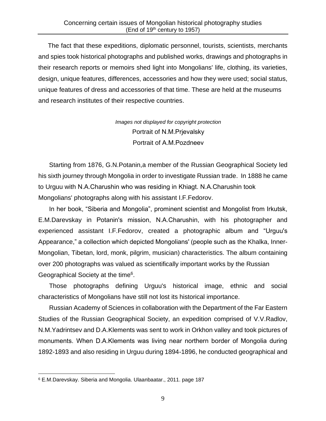The fact that these expeditions, diplomatic personnel, tourists, scientists, merchants and spies took historical photographs and published works, drawings and photographs in their research reports or memoirs shed light into Mongolians' life, clothing, its varieties, design, unique features, differences, accessories and how they were used; social status, unique features of dress and accessories of that time. These are held at the museums and research institutes of their respective countries.

> *Images not displayed for copyright protection* Portrait of N.М.Prjevalsky Portrait of А.М.Pozdneev

Starting from 1876, G.N.Potanin,a member of the Russian Geographical Society led his sixth journey through Mongolia in order to investigate Russian trade. In 1888 he came to Urguu with N.А.Charushin who was residing in Khiagt. N.А.Charushin took Mongolians' photographs along with his assistant I.F.Fedorov.

In her book, "Siberia and Mongolia", prominent scientist and Mongolist from Irkutsk, E.M.Darevskay in Potanin's mission, N.А.Charushin, with his photographer and experienced assistant I.F.Fedorov, created a photographic album and "Urguu's Appearance," a collection which depicted Mongolians' (people such as the Khalka, Inner-Mongolian, Tibetan, lord, monk, pilgrim, musician) characteristics. The album containing over 200 photographs was valued as scientifically important works by the Russian Geographical Society at the time<sup>6</sup>.

Those photographs defining Urguu's historical image, ethnic and social characteristics of Mongolians have still not lost its historical importance.

Russian Academy of Sciences in collaboration with the Department of the Far Eastern Studies of the Russian Geographical Society, an expedition comprised of V.V.Radlov, N.M.Yadrintsev and D.A.Klements was sent to work in Orkhon valley and took pictures of monuments. When D.А.Klements was living near northern border of Mongolia during 1892-1893 and also residing in Urguu during 1894-1896, he conducted geographical and

<sup>6</sup> E.M.Darevskay. Siberia and Mongolia. Ulaanbaatar., 2011. page 187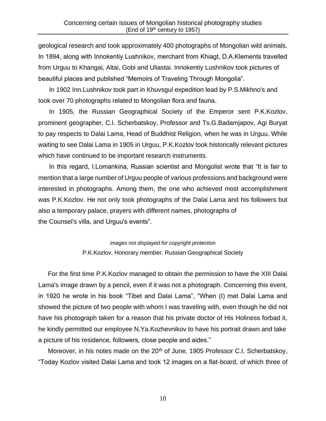geological research and took approximately 400 photographs of Mongolian wild animals. In 1894, along with Innokentiy Lushnikov, merchant from Khiagt, D.A.Klements travelled from Urguu to Khangai, Altai, Gobi and Uliastai. Innokentiy Lushnikov took pictures of beautiful places and published "Memoirs of Traveling Through Mongolia".

In 1902 Inn.Lushnikov took part in Khuvsgul expedition lead by P.S.Mikhno's and took over 70 photographs related to Mongolian flora and fauna.

In 1905, the Russian Geographical Society of the Emperor sent P.K.Kozlov, prominent geographer, C.I. Scherbatskoy, Professor and Ts.G.Badamjapov, Agi Buryat to pay respects to Dalai Lama, Head of Buddhist Religion, when he was in Urguu. While waiting to see Dalai Lama in 1905 in Urguu, P.K.Kozlov took historically relevant pictures which have continued to be important research instruments.

In this regard, I.Lomankina, Russian scientist and Mongolist wrote that "It is fair to mention that a large number of Urguu people of various professions and background were interested in photographs. Among them, the one who achieved most accomplishment was P.K.Kozlov. He not only took photographs of the Dalai Lama and his followers but also a temporary palace, prayers with different names, photographs of the Counsel's villa, and Urguu's events".

> *images not displayed for copyright protection* P.K.Kozlov, Honorary member. Russian Geographical Society

For the first time P.K.Kozlov managed to obtain the permission to have the XIII Dalai Lama's image drawn by a pencil, even if it was not a photograph. Concerning this event, in 1920 he wrote in his book "Tibet and Dalai Lama", "When (I) met Dalai Lama and showed the picture of two people with whom I was traveling with, even though he did not have his photograph taken for a reason that his private doctor of His Holiness forbad it, he kindly permitted our employee N.Ya.Kozhevnikov to have his portrait drawn and take a picture of his residence, followers, close people and aides."

Moreover, in his notes made on the 20<sup>th</sup> of June, 1905 Professor C.I. Scherbatskoy, "Today Kozlov visited Dalai Lama and took 12 images on a flat-board, of which three of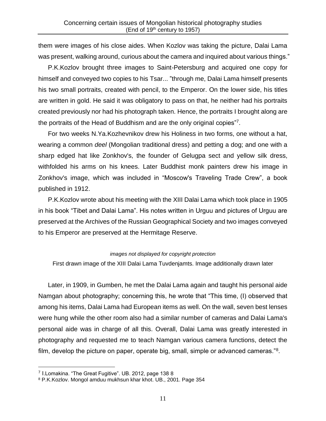them were images of his close aides. When Kozlov was taking the picture, Dalai Lama was present, walking around, curious about the camera and inquired about various things."

P.K.Kozlov brought three images to Saint-Petersburg and acquired one copy for himself and conveyed two copies to his Tsar... "through me, Dalai Lama himself presents his two small portraits, created with pencil, to the Emperor. On the lower side, his titles are written in gold. He said it was obligatory to pass on that, he neither had his portraits created previously nor had his photograph taken. Hence, the portraits I brought along are the portraits of the Head of Buddhism and are the only original copies"<sup>7</sup> .

For two weeks N.Ya.Kozhevnikov drew his Holiness in two forms, one without a hat, wearing a common *deel* (Mongolian traditional dress) and petting a dog; and one with a sharp edged hat like Zonkhov's, the founder of Gelugpa sect and yellow silk dress, withfolded his arms on his knees. Later Buddhist monk painters drew his image in Zonkhov's image, which was included in "Moscow's Traveling Trade Crew", a book published in 1912.

P.K.Kozlov wrote about his meeting with the XIII Dalai Lama which took place in 1905 in his book "Tibet and Dalai Lama". His notes written in Urguu and pictures of Urguu are preserved at the Archives of the Russian Geographical Society and two images conveyed to his Emperor are preserved at the Hermitage Reserve.

#### *images not displayed for copyright protection*

First drawn image of the XIII Dalai Lama Tuvdenjamts. Image additionally drawn later

Later, in 1909, in Gumben, he met the Dalai Lama again and taught his personal aide Namgan about photography; concerning this, he wrote that "This time, (I) observed that among his items, Dalai Lama had European items as well. On the wall, seven best lenses were hung while the other room also had a similar number of cameras and Dalai Lama's personal aide was in charge of all this. Overall, Dalai Lama was greatly interested in photography and requested me to teach Namgan various camera functions, detect the film, develop the picture on paper, operate big, small, simple or advanced cameras."<sup>8</sup>.

<sup>7</sup> I.Lomakina. "The Great Fugitive". UB. 2012, page 138 8

<sup>8</sup> P.K.Kozlov. Mongol amduu mukhsun khar khot. UB., 2001. Page 354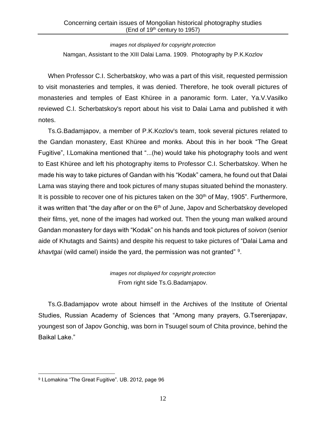*images not displayed for copyright protection* Namgan, Assistant to the XIII Dalai Lama. 1909. Photography by P.K.Kozlov

When Professor C.I. Scherbatskoy, who was a part of this visit, requested permission to visit monasteries and temples, it was denied. Therefore, he took overall pictures of monasteries and temples of East Khüree in a panoramic form. Later, Ya.V.Vasilko reviewed C.I. Scherbatskoy's report about his visit to Dalai Lama and published it with notes.

Ts.G.Badamjapov, a member of P.K.Kozlov's team, took several pictures related to the Gandan monastery, East Khüree and monks. About this in her book "The Great Fugitive", I.Lomakina mentioned that "...(he) would take his photography tools and went to East Khüree and left his photography items to Professor C.I. Scherbatskoy. When he made his way to take pictures of Gandan with his "Kodak" camera, he found out that Dalai Lama was staying there and took pictures of many stupas situated behind the monastery. It is possible to recover one of his pictures taken on the  $30<sup>th</sup>$  of May, 1905". Furthermore, it was written that "the day after or on the  $6<sup>th</sup>$  of June, Japov and Scherbatskoy developed their films, yet, none of the images had worked out. Then the young man walked around Gandan monastery for days with "Kodak" on his hands and took pictures of *soivon* (senior aide of Khutagts and Saints) and despite his request to take pictures of "Dalai Lama and khavtgai (wild camel) inside the yard, the permission was not granted"<sup>9</sup>.

> *images not displayed for copyright protection* From right side Ts.G.Badamjapov.

Ts.G.Badamjapov wrote about himself in the Archives of the Institute of Oriental Studies, Russian Academy of Sciences that "Among many prayers, G.Tserenjapav, youngest son of Japov Gonchig, was born in Tsuugel soum of Chita province, behind the Baikal Lake."

<sup>9</sup> I.Lomakina "The Great Fugitive". UB. 2012, page 96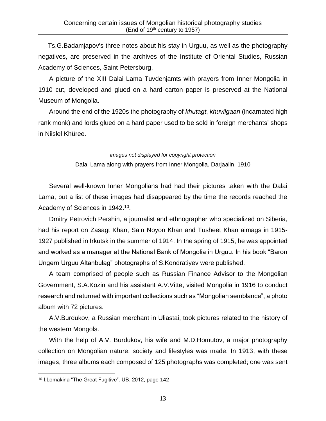Ts.G.Badamjapov's three notes about his stay in Urguu, as well as the photography negatives, are preserved in the archives of the Institute of Oriental Studies, Russian Academy of Sciences, Saint-Petersburg.

A picture of the XIII Dalai Lama Tuvdenjamts with prayers from Inner Mongolia in 1910 cut, developed and glued on a hard carton paper is preserved at the National Museum of Mongolia.

Around the end of the 1920s the photography of *khutagt*, *khuvilgaan* (incarnated high rank monk) and lords glued on a hard paper used to be sold in foreign merchants' shops in Niislel Khüree.

#### *images not displayed for copyright protection*

Dalai Lama along with prayers from Inner Mongolia. Darjaalin. 1910

Several well-known Inner Mongolians had had their pictures taken with the Dalai Lama, but a list of these images had disappeared by the time the records reached the Academy of Sciences in 1942.<sup>10</sup>.

Dmitry Petrovich Pershin, a journalist and ethnographer who specialized on Siberia, had his report on Zasagt Khan, Sain Noyon Khan and Tusheet Khan aimags in 1915- 1927 published in Irkutsk in the summer of 1914. In the spring of 1915, he was appointed and worked as a manager at the National Bank of Mongolia in Urguu. In his book "Baron Ungern Urguu Altanbulag" photographs of S.Kondratiyev were published.

A team comprised of people such as Russian Finance Advisor to the Mongolian Government, S.A.Kozin and his assistant A.V.Vitte, visited Mongolia in 1916 to conduct research and returned with important collections such as "Mongolian semblance", a photo album with 72 pictures.

A.V.Burdukov, a Russian merchant in Uliastai, took pictures related to the history of the western Mongols.

With the help of A.V. Burdukov, his wife and M.D.Homutov, a major photography collection on Mongolian nature, society and lifestyles was made. In 1913, with these images, three albums each composed of 125 photographs was completed; one was sent

<sup>10</sup> I.Lomakina "The Great Fugitive". UB. 2012, page 142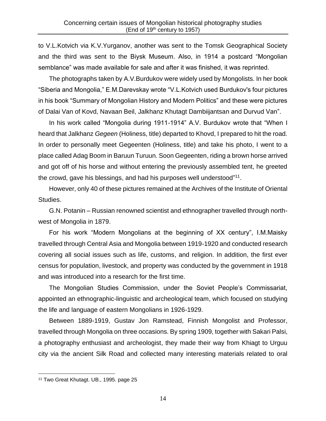to V.L.Kotvich via K.V.Yurganov, another was sent to the Tomsk Geographical Society and the third was sent to the Biysk Museum. Also, in 1914 a postcard "Mongolian semblance" was made available for sale and after it was finished, it was reprinted.

The photographs taken by A.V.Burdukov were widely used by Mongolists. In her book "Siberia and Mongolia," E.M.Darevskay wrote "V.L.Kotvich used Burdukov's four pictures in his book "Summary of Mongolian History and Modern Politics" and these were pictures of Dalai Van of Kovd, Navaan Beil, Jalkhanz Khutagt Dambiijantsan and Durvud Van".

In his work called "Mongolia during 1911-1914" A.V. Burdukov wrote that "When I heard that Jalkhanz *Gegeen* (Holiness, title) departed to Khovd, I prepared to hit the road. In order to personally meet Gegeenten (Holiness, title) and take his photo, I went to a place called Adag Boom in Baruun Turuun. Soon Gegeenten, riding a brown horse arrived and got off of his horse and without entering the previously assembled tent, he greeted the crowd, gave his blessings, and had his purposes well understood"<sup>11</sup>.

However, only 40 of these pictures remained at the Archives of the Institute of Oriental Studies.

G.N. Potanin – Russian renowned scientist and ethnographer travelled through northwest of Mongolia in 1879.

For his work "Modern Mongolians at the beginning of XX century", I.М.Maisky travelled through Central Asia and Mongolia between 1919-1920 and conducted research covering all social issues such as life, customs, and religion. In addition, the first ever census for population, livestock, and property was conducted by the government in 1918 and was introduced into a research for the first time.

The Mongolian Studies Commission, under the Soviet People's Commissariat, appointed an ethnographic-linguistic and archeological team, which focused on studying the life and language of eastern Mongolians in 1926-1929.

Between 1889-1919, Gustav Jon Ramstead, Finnish Mongolist and Professor, travelled through Mongolia on three occasions. By spring 1909, together with Sakari Palsi, a photography enthusiast and archeologist, they made their way from Khiagt to Urguu city via the ancient Silk Road and collected many interesting materials related to oral

<sup>11</sup> Two Great Khutagt. UB., 1995. page 25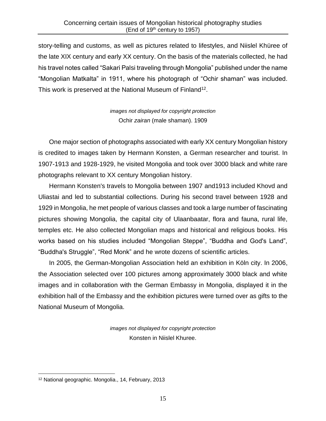story-telling and customs, as well as pictures related to lifestyles, and Niislel Khüree of the late XIX century and early XX century. On the basis of the materials collected, he had his travel notes called "Sakari Palsi traveling through Mongolia" published under the name "Mongolian Matkalta" in 1911, where his photograph of "Ochir shaman" was included. This work is preserved at the National Museum of Finland<sup>12</sup>.

> *images not displayed for copyright protection* Ochir *zairan* (male shaman). 1909

One major section of photographs associated with early XX century Mongolian history is credited to images taken by Hermann Konsten, a German researcher and tourist. In 1907-1913 and 1928-1929, he visited Mongolia and took over 3000 black and white rare photographs relevant to XX century Mongolian history.

Hermann Konsten's travels to Mongolia between 1907 and1913 included Khovd and Uliastai and led to substantial collections. During his second travel between 1928 and 1929 in Mongolia, he met people of various classes and took a large number of fascinating pictures showing Mongolia, the capital city of Ulaanbaatar, flora and fauna, rural life, temples etc. He also collected Mongolian maps and historical and religious books. His works based on his studies included "Mongolian Steppe", "Buddha and God's Land", "Buddha's Struggle", "Red Monk" and he wrote dozens of scientific articles.

In 2005, the German-Mongolian Association held an exhibition in Köln city. In 2006, the Association selected over 100 pictures among approximately 3000 black and white images and in collaboration with the German Embassy in Mongolia, displayed it in the exhibition hall of the Embassy and the exhibition pictures were turned over as gifts to the National Museum of Mongolia.

> *images not displayed for copyright protection* Konsten in Niislel Khuree.

<sup>12</sup> National geographic. Mongolia., 14, February, 2013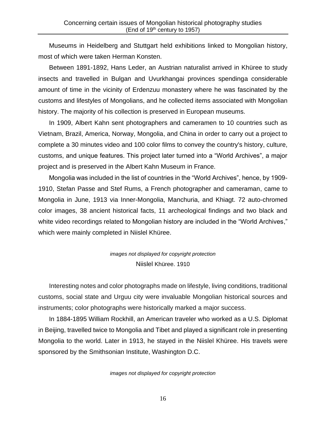Museums in Heidelberg and Stuttgart held exhibitions linked to Mongolian history, most of which were taken Herman Konsten.

Between 1891-1892, Hans Leder, an Austrian naturalist arrived in Khüree to study insects and travelled in Bulgan and Uvurkhangai provinces spendinga considerable amount of time in the vicinity of Erdenzuu monastery where he was fascinated by the customs and lifestyles of Mongolians, and he collected items associated with Mongolian history. The majority of his collection is preserved in European museums.

In 1909, Albert Kahn sent photographers and cameramen to 10 countries such as Vietnam, Brazil, America, Norway, Mongolia, and China in order to carry out a project to complete a 30 minutes video and 100 color films to convey the country's history, culture, customs, and unique features. This project later turned into a "World Archives", a major project and is preserved in the Albert Kahn Museum in France.

Mongolia was included in the list of countries in the "World Archives", hence, by 1909- 1910, Stefan Passe and Stef Rums, a French photographer and cameraman, came to Mongolia in June, 1913 via Inner-Mongolia, Manchuria, and Khiagt. 72 auto-chromed color images, 38 ancient historical facts, 11 archeological findings and two black and white video recordings related to Mongolian history are included in the "World Archives," which were mainly completed in Niislel Khüree.

> *images not displayed for copyright protection* Niislel Khüree. 1910

Interesting notes and color photographs made on lifestyle, living conditions, traditional customs, social state and Urguu city were invaluable Mongolian historical sources and instruments; color photographs were historically marked a major success.

In 1884-1895 William Rockhill, an American traveler who worked as a U.S. Diplomat in Beijing, travelled twice to Mongolia and Tibet and played a significant role in presenting Mongolia to the world. Later in 1913, he stayed in the Niislel Khüree. His travels were sponsored by the Smithsonian Institute, Washington D.C.

*images not displayed for copyright protection*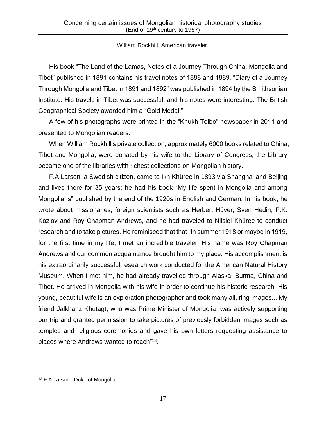### William Rockhill, American traveler.

His book "The Land of the Lamas, Notes of a Journey Through China, Mongolia and Tibet" published in 1891 contains his travel notes of 1888 and 1889. "Diary of a Journey Through Mongolia and Tibet in 1891 and 1892" was published in 1894 by the Smithsonian Institute. His travels in Tibet was successful, and his notes were interesting. The British Geographical Society awarded him a "Gold Medal.".

A few of his photographs were printed in the "Khukh Tolbo" newspaper in 2011 and presented to Mongolian readers.

When William Rockhill's private collection, approximately 6000 books related to China, Tibet and Mongolia, were donated by his wife to the Library of Congress, the Library became one of the libraries with richest collections on Mongolian history.

F.A.Larson, a Swedish citizen, came to Ikh Khüree in 1893 via Shanghai and Beijing and lived there for 35 years; he had his book "My life spent in Mongolia and among Mongolians" published by the end of the 1920s in English and German. In his book, he wrote about missionaries, foreign scientists such as Herbert Hüver, Sven Hedin, P.K. Kozlov and Roy Chapman Andrews, and he had traveled to Niislel Khüree to conduct research and to take pictures. He reminisced that that "In summer 1918 or maybe in 1919, for the first time in my life, I met an incredible traveler. His name was Roy Chapman Andrews and our common acquaintance brought him to my place. His accomplishment is his extraordinarily successful research work conducted for the American Natural History Museum. When I met him, he had already travelled through Alaska, Burma, China and Tibet. He arrived in Mongolia with his wife in order to continue his historic research. His young, beautiful wife is an exploration photographer and took many alluring images... My friend Jalkhanz Khutagt, who was Prime Minister of Mongolia, was actively supporting our trip and granted permission to take pictures of previously forbidden images such as temples and religious ceremonies and gave his own letters requesting assistance to places where Andrews wanted to reach"<sup>13</sup>.

<sup>13</sup> F.A.Larson. Duke of Mongolia.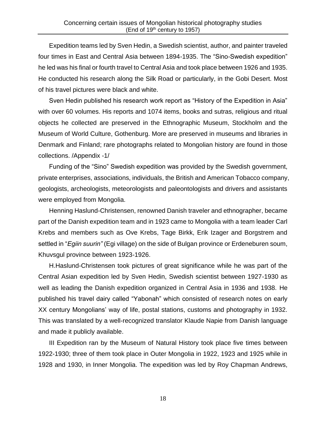Expedition teams led by Sven Hedin, a Swedish scientist, author, and painter traveled four times in East and Central Asia between 1894-1935. The "Sino-Swedish expedition" he led was his final or fourth travel to Central Asia and took place between 1926 and 1935. He conducted his research along the Silk Road or particularly, in the Gobi Desert. Most of his travel pictures were black and white.

Sven Hedin published his research work report as "History of the Expedition in Asia" with over 60 volumes. His reports and 1074 items, books and sutras, religious and ritual objects he collected are preserved in the Ethnographic Museum, Stockholm and the Museum of World Culture, Gothenburg. More are preserved in museums and libraries in Denmark and Finland; rare photographs related to Mongolian history are found in those collections. /Appendix -1/

Funding of the "Sino" Swedish expedition was provided by the Swedish government, private enterprises, associations, individuals, the British and American Tobacco company, geologists, archeologists, meteorologists and paleontologists and drivers and assistants were employed from Mongolia.

Henning Haslund-Christensen, renowned Danish traveler and ethnographer, became part of the Danish expedition team and in 1923 came to Mongolia with a team leader Carl Krebs and members such as Ove Krebs, Tage Birkk, Erik Izager and Borgstrem and settled in "*Egiin suurin"* (Egi village) on the side of Bulgan province or Erdeneburen soum, Khuvsgul province between 1923-1926.

H.Haslund-Christensen took pictures of great significance while he was part of the Central Asian expedition led by Sven Hedin, Swedish scientist between 1927-1930 as well as leading the Danish expedition organized in Central Asia in 1936 and 1938. He published his travel dairy called "Yabonah" which consisted of research notes on early XX century Mongolians' way of life, postal stations, customs and photography in 1932. This was translated by a well-recognized translator Klaude Napie from Danish language and made it publicly available.

III Expedition ran by the Museum of Natural History took place five times between 1922-1930; three of them took place in Outer Mongolia in 1922, 1923 and 1925 while in 1928 and 1930, in Inner Mongolia. The expedition was led by Roy Chapman Andrews,

18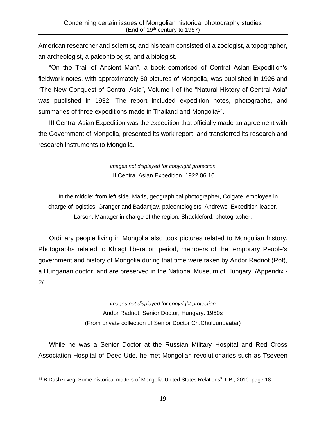American researcher and scientist, and his team consisted of a zoologist, a topographer, an archeologist, a paleontologist, and a biologist.

"On the Trail of Ancient Man", a book comprised of Central Asian Expedition's fieldwork notes, with approximately 60 pictures of Mongolia, was published in 1926 and "The New Conquest of Central Asia", Volume I of the "Natural History of Central Asia" was published in 1932. The report included expedition notes, photographs, and summaries of three expeditions made in Thailand and Mongolia<sup>14</sup>.

III Central Asian Expedition was the expedition that officially made an agreement with the Government of Mongolia, presented its work report, and transferred its research and research instruments to Mongolia.

> *images not displayed for copyright protection* III Central Asian Expedition. 1922.06.10

In the middle: from left side, Maris, geographical photographer, Colgate, employee in charge of logistics, Granger and Badamjav, paleontologists, Andrews, Expedition leader, Larson, Manager in charge of the region, Shackleford, photographer.

Ordinary people living in Mongolia also took pictures related to Mongolian history. Photographs related to Khiagt liberation period, members of the temporary People's government and history of Mongolia during that time were taken by Andor Radnot (Rot), a Hungarian doctor, and are preserved in the National Museum of Hungary. /Appendix - 2/

> *images not displayed for copyright protection* Andor Radnot, Senior Doctor, Hungary. 1950s (From private collection of Senior Doctor Ch.Chuluunbaatar)

While he was a Senior Doctor at the Russian Military Hospital and Red Cross Association Hospital of Deed Ude, he met Mongolian revolutionaries such as Tseveen

<sup>14</sup> B.Dashzeveg. Some historical matters of Mongolia-United States Relations", UB., 2010. page 18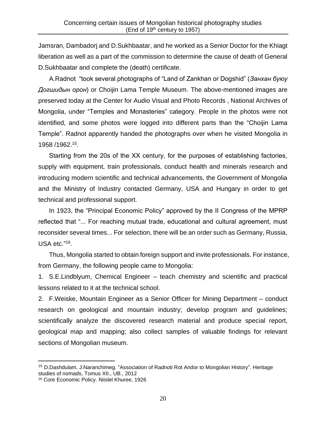Jamsran, Dambadorj and D.Sukhbaatar, and he worked as a Senior Doctor for the Khiagt liberation as well as a part of the commission to determine the cause of death of General D.Sukhbaatar and complete the (death) certificate.

A.Radnot "took several photographs of "Land of Zankhan or Dogshid" (*Занхан буюу Догшидын орон*) or Choijin Lama Temple Museum. The above-mentioned images are preserved today at the Center for Audio Visual and Photo Records , National Archives of Mongolia, under "Temples and Monasteries" category. People in the photos were not identified, and some photos were logged into different parts than the "Choijin Lama Temple". Radnot apparently handed the photographs over when he visited Mongolia in 1958 /1962. 15 .

Starting from the 20s of the ХХ century, for the purposes of establishing factories, supply with equipment, train professionals, conduct health and minerals research and introducing modern scientific and technical advancements, the Government of Mongolia and the Ministry of Industry contacted Germany, USA and Hungary in order to get technical and professional support.

In 1923, the "Principal Economic Policy" approved by the II Congress of the MPRP reflected that "... For reaching mutual trade, educational and cultural agreement, must reconsider several times... For selection, there will be an order such as Germany, Russia, USA etc."<sup>16</sup>.

Thus, Mongolia started to obtain foreign support and invite professionals. For instance, from Germany, the following people came to Mongolia:

1. S.E.Lindblyum, Chemical Engineer – teach chemistry and scientific and practical lessons related to it at the technical school.

2. F.Weiske, Mountain Engineer as a Senior Officer for Mining Department – conduct research on geological and mountain industry; develop program and guidelines; scientifically analyze the discovered research material and produce special report, geological map and mapping; also collect samples of valuable findings for relevant sections of Mongolian museum.

<sup>15</sup> D.Dashdulam, J.Naranchimeg. "Association of Radnoti Rot Andor to Mongolian History". Heritage studies of nomads, Tomus XII., UB., 2012

<sup>16</sup> Core Economic Policy. Niislel Khuree, 1926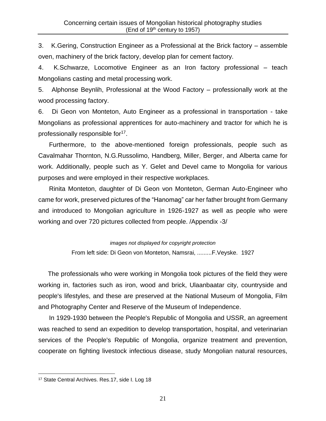3. K.Gering, Construction Engineer as a Professional at the Brick factory – assemble oven, machinery of the brick factory, develop plan for cement factory.

4. K.Schwarze, Locomotive Engineer as an Iron factory professional – teach Mongolians casting and metal processing work.

5. Alphonse Beynlih, Professional at the Wood Factory – professionally work at the wood processing factory.

6. Di Geon von Monteton, Auto Engineer as a professional in transportation - take Mongolians as professional apprentices for auto-machinery and tractor for which he is professionally responsible for<sup>17</sup>.

Furthermore, to the above-mentioned foreign professionals, people such as Cavalmahar Thornton, N.G.Russolimo, Handberg, Miller, Berger, and Alberta came for work. Additionally, people such as Y. Gelet and Devel came to Mongolia for various purposes and were employed in their respective workplaces.

Rinita Monteton, daughter of Di Geon von Monteton, German Auto-Engineer who came for work, preserved pictures of the "Hanomag" car her father brought from Germany and introduced to Mongolian agriculture in 1926-1927 as well as people who were working and over 720 pictures collected from people. /Appendix -3/

> *images not displayed for copyright protection* From left side: Di Geon von Monteton, Namsrai, .........F.Veyske. 1927

The professionals who were working in Mongolia took pictures of the field they were working in, factories such as iron, wood and brick, Ulaanbaatar city, countryside and people's lifestyles, and these are preserved at the National Museum of Mongolia, Film and Photography Center and Reserve of the Museum of Independence.

In 1929-1930 between the People's Republic of Mongolia and USSR, an agreement was reached to send an expedition to develop transportation, hospital, and veterinarian services of the People's Republic of Mongolia, organize treatment and prevention, cooperate on fighting livestock infectious disease, study Mongolian natural resources,

<sup>&</sup>lt;sup>17</sup> State Central Archives. Res.17, side I. Log 18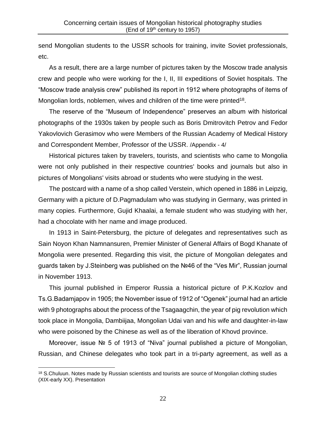send Mongolian students to the USSR schools for training, invite Soviet professionals, etc.

As a result, there are a large number of pictures taken by the Moscow trade analysis crew and people who were working for the I, II, III expeditions of Soviet hospitals. The "Moscow trade analysis crew" published its report in 1912 where photographs of items of Mongolian lords, noblemen, wives and children of the time were printed<sup>18</sup>.

The reserve of the "Museum of Independence" preserves an album with historical photographs of the 1930s taken by people such as Boris Dmitrovitch Petrov and Fedor Yakovlovich Gerasimov who were Members of the Russian Academy of Medical History and Correspondent Member, Professor of the USSR. /Appendix - 4/

Historical pictures taken by travelers, tourists, and scientists who came to Mongolia were not only published in their respective countries' books and journals but also in pictures of Mongolians' visits abroad or students who were studying in the west.

The postcard with a name of a shop called Verstein, which opened in 1886 in Leipzig, Germany with a picture of D.Pagmadulam who was studying in Germany, was printed in many copies. Furthermore, Gujid Khaalai, a female student who was studying with her, had a chocolate with her name and image produced.

In 1913 in Saint-Petersburg, the picture of delegates and representatives such as Sain Noyon Khan Namnansuren, Premier Minister of General Affairs of Bogd Khanate of Mongolia were presented. Regarding this visit, the picture of Mongolian delegates and guards taken by J.Steinberg was published on the №46 of the "Ves Mir", Russian journal in November 1913.

This journal published in Emperor Russia a historical picture of P.K.Kozlov and Ts.G.Badamjapov in 1905; the November issue of 1912 of "Ogenek" journal had an article with 9 photographs about the process of the Tsagaagchin, the year of pig revolution which took place in Mongolia, Dambiijaa, Mongolian Udai van and his wife and daughter-in-law who were poisoned by the Chinese as well as of the liberation of Khovd province.

Moreover, issue № 5 of 1913 of "Niva" journal published a picture of Mongolian, Russian, and Chinese delegates who took part in a tri-party agreement, as well as a

<sup>&</sup>lt;sup>18</sup> S.Chuluun. Notes made by Russian scientists and tourists are source of Mongolian clothing studies (XIX-early XX). Presentation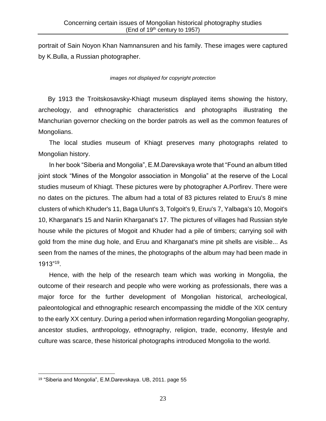portrait of Sain Noyon Khan Namnansuren and his family. These images were captured by K.Bulla, a Russian photographer.

#### *images not displayed for copyright protection*

By 1913 the Troitskosavsky-Khiagt museum displayed items showing the history, archeology, and ethnographic characteristics and photographs illustrating the Manchurian governor checking on the border patrols as well as the common features of Mongolians.

The local studies museum of Khiagt preserves many photographs related to Mongolian history.

In her book "Siberia and Mongolia", E.M.Darevskaya wrote that "Found an album titled joint stock "Mines of the Mongolor association in Mongolia" at the reserve of the Local studies museum of Khiagt. These pictures were by photographer A.Porfirev. There were no dates on the pictures. The album had a total of 83 pictures related to Eruu's 8 mine clusters of which Khuder's 11, Baga Ulunt's 3, Tolgoit's 9, Eruu's 7, Yalbaga's 10, Mogoit's 10, Kharganat's 15 and Nariin Kharganat's 17. The pictures of villages had Russian style house while the pictures of Mogoit and Khuder had a pile of timbers; carrying soil with gold from the mine dug hole, and Eruu and Kharganat's mine pit shells are visible... As seen from the names of the mines, the photographs of the album may had been made in 1913"<sup>19</sup> .

Hence, with the help of the research team which was working in Mongolia, the outcome of their research and people who were working as professionals, there was a major force for the further development of Mongolian historical, archeological, paleontological and ethnographic research encompassing the middle of the XIX century to the early XX century. During a period when information regarding Mongolian geography, ancestor studies, anthropology, ethnography, religion, trade, economy, lifestyle and culture was scarce, these historical photographs introduced Mongolia to the world.

<sup>19</sup> "Siberia and Mongolia", E.M.Darevskaya. UB, 2011. page 55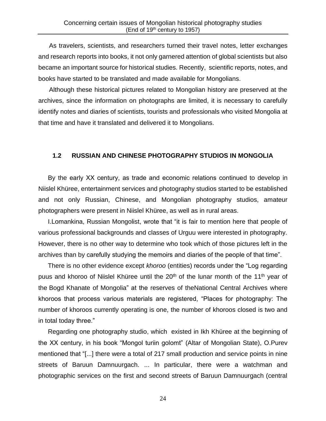As travelers, scientists, and researchers turned their travel notes, letter exchanges and research reports into books, it not only garnered attention of global scientists but also became an important source for historical studies. Recently, scientific reports, notes, and books have started to be translated and made available for Mongolians.

Although these historical pictures related to Mongolian history are preserved at the archives, since the information on photographs are limited, it is necessary to carefully identify notes and diaries of scientists, tourists and professionals who visited Mongolia at that time and have it translated and delivered it to Mongolians.

### **1.2 RUSSIAN AND CHINESE PHOTOGRAPHY STUDIOS IN MONGOLIA**

By the early ХХ century, as trade and economic relations continued to develop in Niislel Khüree, entertainment services and photography studios started to be established and not only Russian, Chinese, and Mongolian photography studios, amateur photographers were present in Niislel Khüree, as well as in rural areas.

I.Lomankina, Russian Mongolist, wrote that "it is fair to mention here that people of various professional backgrounds and classes of Urguu were interested in photography. However, there is no other way to determine who took which of those pictures left in the archives than by carefully studying the memoirs and diaries of the people of that time".

There is no other evidence except *khoroo* (entities) records under the "Log regarding puus and khoroo of Niislel Khüree until the 20<sup>th</sup> of the lunar month of the 11<sup>th</sup> year of the Bogd Khanate of Mongolia" at the reserves of theNational Central Archives where khoroos that process various materials are registered, "Places for photography: The number of khoroos currently operating is one, the number of khoroos closed is two and in total today three."

Regarding one photography studio, which existed in Ikh Khüree at the beginning of the XX century, in his book "Mongol turiin golomt" (Altar of Mongolian State), O.Purev mentioned that "[...] there were a total of 217 small production and service points in nine streets of Baruun Damnuurgach. ... In particular, there were a watchman and photographic services on the first and second streets of Baruun Damnuurgach (central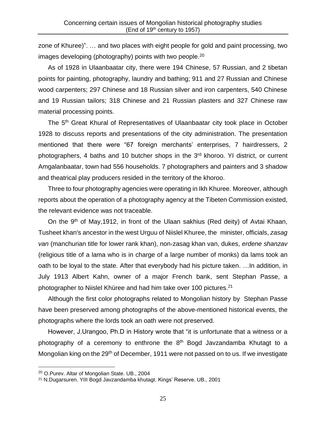zone of Khuree)". … and two places with eight people for gold and paint processing, two images developing (photography) points with two people.<sup>20</sup>

As of 1928 in Ulaanbaatar city, there were 194 Chinese, 57 Russian, and 2 tibetan points for painting, photography, laundry and bathing; 911 and 27 Russian and Chinese wood carpenters; 297 Chinese and 18 Russian silver and iron carpenters, 540 Chinese and 19 Russian tailors; 318 Chinese and 21 Russian plasters and 327 Chinese raw material processing points.

The 5<sup>th</sup> Great Khural of Representatives of Ulaanbaatar city took place in October 1928 to discuss reports and presentations of the city administration. The presentation mentioned that there were "67 foreign merchants' enterprises, 7 hairdressers, 2 photographers, 4 baths and 10 butcher shops in the 3<sup>rd</sup> khoroo. YI district, or current Amgalanbaatar, town had 556 households. 7 photographers and painters and 3 shadow and theatrical play producers resided in the territory of the khoroo.

Three to four photography agencies were operating in Ikh Khuree. Moreover, although reports about the operation of a photography agency at the Tibeten Commission existed, the relevant evidence was not traceable.

On the  $9<sup>th</sup>$  of May, 1912, in front of the Ulaan sakhius (Red deity) of Avtai Khaan, Tusheet khan's ancestor in the west Urguu of Niislel Khuree, the minister, officials, *zasag van* (manchurian title for lower rank khan), non-zasag khan van, dukes, *erdene shanzav* (religious title of a lama who is in charge of a large number of monks) da lams took an oath to be loyal to the state. After that everybody had his picture taken. …In addition, in July 1913 Albert Kahn, owner of a major French bank, sent Stephan Passe, a photographer to Niislel Khüree and had him take over 100 pictures.<sup>21</sup>

Although the first color photographs related to Mongolian history by Stephan Passe have been preserved among photographs of the above-mentioned historical events, the photographs where the lords took an oath were not preserved.

However, J.Urangoo, Ph.D in History wrote that "it is unfortunate that a witness or a photography of a ceremony to enthrone the  $8<sup>th</sup>$  Bogd Javzandamba Khutagt to a Mongolian king on the 29<sup>th</sup> of December, 1911 were not passed on to us. If we investigate

<sup>20</sup> O.Purev. Altar of Mongolian State. UB., 2004

<sup>21</sup> N.Dugarsuren. YIII Bogd Javzandamba khutagt. Kings' Reserve. UB., 2001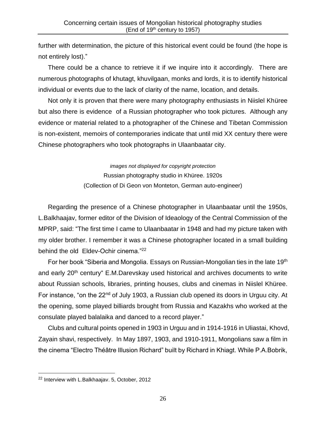further with determination, the picture of this historical event could be found (the hope is not entirely lost)."

There could be a chance to retrieve it if we inquire into it accordingly. There are numerous photographs of khutagt, khuvilgaan, monks and lords, it is to identify historical individual or events due to the lack of clarity of the name, location, and details.

Not only it is proven that there were many photography enthusiasts in Niislel Khüree but also there is evidence of a Russian photographer who took pictures. Although any evidence or material related to a photographer of the Chinese and Tibetan Commission is non-existent, memoirs of contemporaries indicate that until mid XX century there were Chinese photographers who took photographs in Ulaanbaatar city.

> *images not displayed for copyright protection* Russian photography studio in Khüree. 1920s (Collection of Di Geon von Monteton, German auto-engineer)

Regarding the presence of a Chinese photographer in Ulaanbaatar until the 1950s, L.Balkhaajav, former editor of the Division of Ideaology of the Central Commission of the MPRP, said: "The first time I came to Ulaanbaatar in 1948 and had my picture taken with my older brother. I remember it was a Chinese photographer located in a small building behind the old Eldev-Ochir cinema."<sup>22</sup>

For her book "Siberia and Mongolia. Essays on Russian-Mongolian ties in the late 19<sup>th</sup> and early 20<sup>th</sup> century" E.M.Darevskay used historical and archives documents to write about Russian schools, libraries, printing houses, clubs and cinemas in Niislel Khüree. For instance, "on the 22<sup>nd</sup> of July 1903, a Russian club opened its doors in Urguu city. At the opening, some played billiards brought from Russia and Kazakhs who worked at the consulate played balalaika and danced to a record player."

Clubs and cultural points opened in 1903 in Urguu and in 1914-1916 in Uliastai, Khovd, Zayain shavi, respectively. In May 1897, 1903, and 1910-1911, Mongolians saw a film in the cinema "Electro Théâtre Illusion Richard" built by Richard in Khiagt. While P.A.Bobrik,

<sup>22</sup> Interview with L.Balkhaajav. 5, October, 2012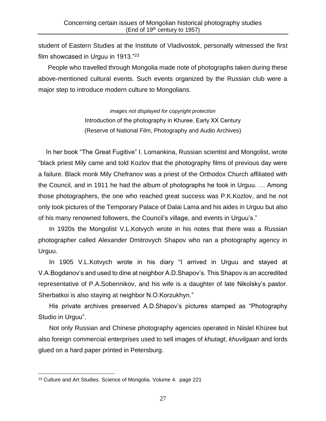student of Eastern Studies at the Institute of Vladivostok, personally witnessed the first film showcased in Urguu in 1913."<sup>23</sup>

People who travelled through Mongolia made note of photographs taken during these above-mentioned cultural events. Such events organized by the Russian club were a major step to introduce modern culture to Mongolians.

> *images not displayed for copyright protection* Introduction of the photography in Khuree. Early ХХ Century (Reserve of National Film, Photography and Audio Archives)

In her book "The Great Fugitive" I. Lomankina, Russian scientist and Mongolist, wrote "black priest Mily came and told Kozlov that the photography films of previous day were a failure. Black monk Mily Chefranov was a priest of the Orthodox Church affiliated with the Council, and in 1911 he had the album of photographs he took in Urguu. … Among those photographers, the one who reached great success was P.K.Kozlov, and he not only took pictures of the Temporary Palace of Dalai Lama and his aides in Urguu but also of his many renowned followers, the Council's village, and events in Urguu's."

In 1920s the Mongolist V.L.Kotvych wrote in his notes that there was a Russian photographer called Alexander Dmitrovych Shapov who ran a photography agency in Urguu.

In 1905 V.L.Kotvych wrote in his diary "I arrived in Urguu and stayed at V.A.Bogdanov's and used to dine at neighbor A.D.Shapov's. This Shapov is an accredited representative of P.A.Sobennikov, and his wife is a daughter of late Nikolsky's pastor. Sherbatkoi is also staying at neighbor N.O.Korzukhyn."

His private archives preserved A.D.Shapov's pictures stamped as "Photography Studio in Urguu".

Not only Russian and Chinese photography agencies operated in Niislel Khüree but also foreign commercial enterprises used to sell images of *khutagt*, *khuvilgaan* and lords glued on a hard paper printed in Petersburg.

<sup>&</sup>lt;sup>23</sup> Culture and Art Studies. Science of Mongolia. Volume 4. page 221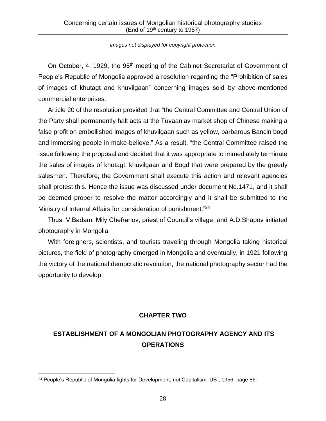#### *images not displayed for copyright protection*

On October, 4, 1929, the 95<sup>th</sup> meeting of the Cabinet Secretariat of Government of People's Republic of Mongolia approved a resolution regarding the "Prohibition of sales of images of khutagt and khuvilgaan" concerning images sold by above-mentioned commercial enterprises.

Article 20 of the resolution provided that "the Central Committee and Central Union of the Party shall permanently halt acts at the Tuvaanjav market shop of Chinese making a false profit on embellished images of khuvilgaan such as yellow, barbarous Bancin bogd and immersing people in make-believe." As a result, "the Central Committee raised the issue following the proposal and decided that it was appropriate to immediately terminate the sales of images of khutagt, khuvilgaan and Bogd that were prepared by the greedy salesmen. Therefore, the Government shall execute this action and relevant agencies shall protest this. Hence the issue was discussed under document No.1471, and it shall be deemed proper to resolve the matter accordingly and it shall be submitted to the Ministry of Internal Affairs for consideration of punishment."<sup>24</sup>

Thus, V.Badam, Mily Chefranov, priest of Council's village, and A.D.Shapov initiated photography in Mongolia.

With foreigners, scientists, and tourists traveling through Mongolia taking historical pictures, the field of photography emerged in Mongolia and eventually, in 1921 following the victory of the national democratic revolution, the national photography sector had the opportunity to develop.

### **CHAPTER TWO**

# **ESTABLISHMENT OF A MONGOLIAN PHOTOGRAPHY AGENCY AND ITS OPERATIONS**

<sup>&</sup>lt;sup>24</sup> People's Republic of Mongolia fights for Development, not Capitalism. UB., 1956. page 86.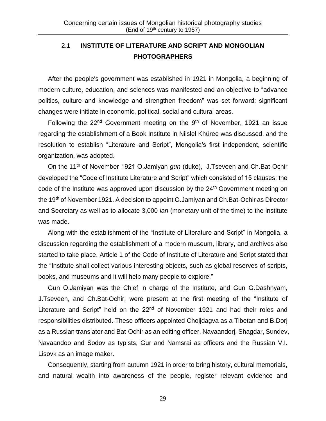# 2.1 **INSTITUTE OF LITERATURE AND SCRIPT AND MONGOLIAN PHOTOGRAPHERS**

After the people's government was established in 1921 in Mongolia, a beginning of modern culture, education, and sciences was manifested and an objective to "advance politics, culture and knowledge and strengthen freedom" was set forward; significant changes were initiate in economic, political, social and cultural areas.

Following the  $22<sup>nd</sup>$  Government meeting on the 9<sup>th</sup> of November, 1921 an issue regarding the establishment of a Book Institute in Niislel Khüree was discussed, and the resolution to establish "Literature and Script", Mongolia's first independent, scientific organization. was adopted.

On the 11th of November 1921 О.Jamiyan *gun* (duke), J.Tseveen and Ch.Bat-Ochir developed the "Code of Institute Literature and Script" which consisted of 15 clauses; the code of the Institute was approved upon discussion by the 24<sup>th</sup> Government meeting on the 19<sup>th</sup> of November 1921. A decision to appoint O.Jamiyan and Ch.Bat-Ochir as Director and Secretary as well as to allocate 3,000 *lan* (monetary unit of the time) to the institute was made.

Along with the establishment of the "Institute of Literature and Script" in Mongolia, a discussion regarding the establishment of a modern museum, library, and archives also started to take place. Article 1 of the Code of Institute of Literature and Script stated that the "Institute shall collect various interesting objects, such as global reserves of scripts, books, and museums and it will help many people to explore."

Gun О.Jamiyan was the Chief in charge of the Institute, and Gun G.Dashnyam, J.Tseveen, and Ch.Bat-Ochir, were present at the first meeting of the "Institute of Literature and Script" held on the 22<sup>nd</sup> of November 1921 and had their roles and responsibilities distributed. These officers appointed Choijdagva as a Tibetan and B.Dorj as a Russian translator and Bat-Ochir as an editing officer, Navaandorj, Shagdar, Sundev, Navaandoo and Sodov as typists, Gur and Namsrai as officers and the Russian V.I. Lisovk as an image maker.

Consequently, starting from autumn 1921 in order to bring history, cultural memorials, and natural wealth into awareness of the people, register relevant evidence and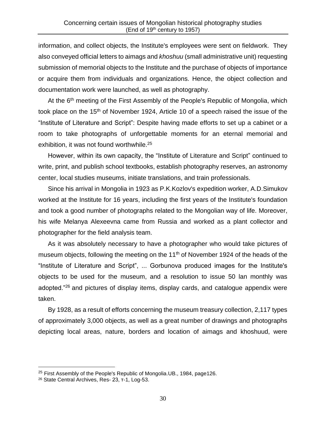information, and collect objects, the Institute's employees were sent on fieldwork. They also conveyed official letters to aimags and *khoshuu* (small administrative unit) requesting submission of memorial objects to the Institute and the purchase of objects of importance or acquire them from individuals and organizations. Hence, the object collection and documentation work were launched, as well as photography.

At the 6<sup>th</sup> meeting of the First Assembly of the People's Republic of Mongolia, which took place on the 15<sup>th</sup> of November 1924, Article 10 of a speech raised the issue of the "Institute of Literature and Script": Despite having made efforts to set up a cabinet or a room to take photographs of unforgettable moments for an eternal memorial and exhibition, it was not found worthwhile.<sup>25</sup>

However, within its own capacity, the "Institute of Literature and Script" continued to write, print, and publish school textbooks, establish photography reserves, an astronomy center, local studies museums, initiate translations, and train professionals.

Since his arrival in Mongolia in 1923 as P.K.Kozlov's expedition worker, A.D.Simukov worked at the Institute for 16 years, including the first years of the Institute's foundation and took a good number of photographs related to the Mongolian way of life. Moreover, his wife Melanya Alexeevna came from Russia and worked as a plant collector and photographer for the field analysis team.

As it was absolutely necessary to have a photographer who would take pictures of museum objects, following the meeting on the  $11<sup>th</sup>$  of November 1924 of the heads of the "Institute of Literature and Script", ... Gorbunova produced images for the Institute's objects to be used for the museum, and a resolution to issue 50 lan monthly was adopted."<sup>26</sup> and pictures of display items, display cards, and catalogue appendix were taken.

By 1928, as a result of efforts concerning the museum treasury collection, 2,117 types of approximately 3,000 objects, as well as a great number of drawings and photographs depicting local areas, nature, borders and location of aimags and khoshuud, were

<sup>&</sup>lt;sup>25</sup> First Assembly of the People's Republic of Mongolia.UB., 1984, page126.

<sup>26</sup> State Central Archives, Res- 23, т-1, Log-53.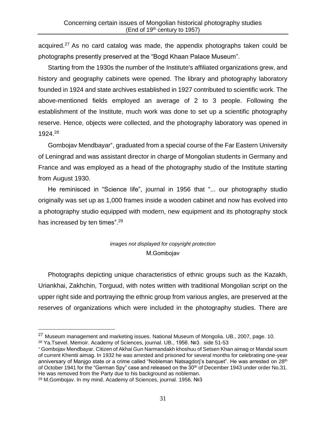acquired.<sup>27</sup> As no card catalog was made, the appendix photographs taken could be photographs presently preserved at the "Bogd Khaan Palace Museum".

Starting from the 1930s the number of the Institute's affiliated organizations grew, and history and geography cabinets were opened. The library and photography laboratory founded in 1924 and state archives established in 1927 contributed to scientific work. The above-mentioned fields employed an average of 2 to 3 people. Following the establishment of the Institute, much work was done to set up a scientific photography reserve. Hence, objects were collected, and the photography laboratory was opened in 1924.<sup>28</sup>

Gombojav Mendbayar\*, graduated from a special course of the Far Eastern University of Leningrad and was assistant director in charge of Mongolian students in Germany and France and was employed as a head of the photography studio of the Institute starting from August 1930.

He reminisced in "Science life", journal in 1956 that "... our photography studio originally was set up as 1,000 frames inside a wooden cabinet and now has evolved into a photography studio equipped with modern, new equipment and its photography stock has increased by ten times".<sup>29</sup>

## *images not displayed for copyright protection* М.Gombojav

Photographs depicting unique characteristics of ethnic groups such as the Kazakh, Uriankhai, Zakhchin, Torguud, with notes written with traditional Mongolian script on the upper right side and portraying the ethnic group from various angles, are preserved at the reserves of organizations which were included in the photography studies. There are

<sup>&</sup>lt;sup>27</sup> Museum management and marketing issues. National Museum of Mongolia. UB., 2007, page. 10. <sup>28</sup> Ya.Tsevel. Memoir. Academy of Sciences, journal. UB., 1956. №3. side 51-53

Gombojav Mendbayar. Citizen of Akhai Gun Narmandakh khoshuu of Setsen Khan aimag or Mandal soum of current Khentii aimag. In 1932 he was arrested and prisoned for several months for celebrating one-year anniversary of Manjgo state or a crime called "Nobleman Natsagdorj's banquet". He was arrested on 28<sup>th</sup> of October 1941 for the "German Spy" case and released on the 30th of December 1943 under order No.31. He was removed from the Party due to his background as nobleman.

<sup>29</sup> M.Gombojav. In my mind. Academy of Sciences, journal. 1956. №3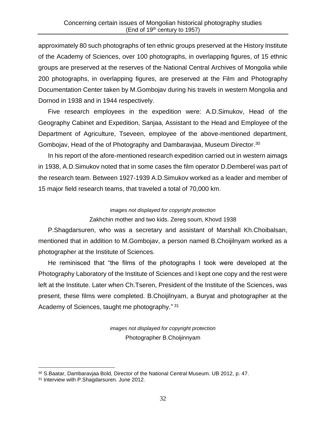approximately 80 such photographs of ten ethnic groups preserved at the History Institute of the Academy of Sciences, over 100 photographs, in overlapping figures, of 15 ethnic groups are preserved at the reserves of the National Central Archives of Mongolia while 200 photographs, in overlapping figures, are preserved at the Film and Photography Documentation Center taken by M.Gombojav during his travels in western Mongolia and Dornod in 1938 and in 1944 respectively.

Five research employees in the expedition were: A.D.Simukov, Head of the Geography Cabinet and Expedition, Sanjaa, Assistant to the Head and Employee of the Department of Agriculture, Tseveen, employee of the above-mentioned department, Gombojav, Head of the of Photography and Dambaravjaa, Museum Director.<sup>30</sup>

In his report of the afore-mentioned research expedition carried out in western aimags in 1938, A.D.Simukov noted that in some cases the film operator D.Demberel was part of the research team. Between 1927-1939 A.D.Simukov worked as a leader and member of 15 major field research teams, that traveled a total of 70,000 km.

#### *images not displayed for copyright protection*

### Zakhchin mother and two kids. Zereg soum, Khovd 1938

P.Shagdarsuren, who was a secretary and assistant of Marshall Kh.Choibalsan, mentioned that in addition to M.Gombojav, a person named B.Choijilnyam worked as a photographer at the Institute of Sciences.

He reminisced that "the films of the photographs I took were developed at the Photography Laboratory of the Institute of Sciences and I kept one copy and the rest were left at the Institute. Later when Ch.Tseren, President of the Institute of the Sciences, was present, these films were completed. B.Choijilnyam, a Buryat and photographer at the Academy of Sciences, taught me photography."<sup>31</sup>

> *images not displayed for copyright protection* Photographer B.Choijinnyam

<sup>30</sup> S.Baatar, Dambaravjaa Bold, Director of the National Central Museum. UB 2012, p. 47.

<sup>&</sup>lt;sup>31</sup> Interview with P.Shagdarsuren. June 2012.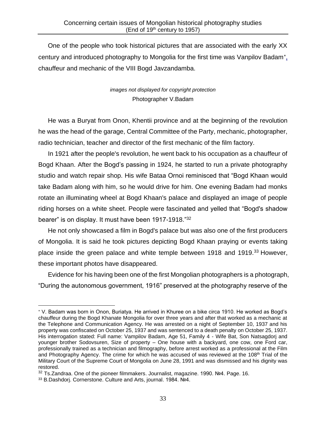One of the people who took historical pictures that are associated with the early XX century and introduced photography to Mongolia for the first time was Vanpilov Badam<sup>\*</sup><sub>-</sub> chauffeur and mechanic of the VIII Bogd Javzandamba.

## *images not displayed for copyright protection* Photographer V.Badam

He was a Buryat from Onon, Khentii province and at the beginning of the revolution he was the head of the garage, Central Committee of the Party, mechanic, photographer, radio technician, teacher and director of the first mechanic of the film factory.

In 1921 after the people's revolution, he went back to his occupation as a chauffeur of Bogd Khaan. After the Bogd's passing in 1924, he started to run a private photography studio and watch repair shop. His wife Bataa Ornoi reminisced that "Bogd Khaan would take Badam along with him, so he would drive for him. One evening Badam had monks rotate an illuminating wheel at Bogd Khaan's palace and displayed an image of people riding horses on a white sheet. People were fascinated and yelled that "Bogd's shadow bearer" is on display. It must have been 1917-1918."<sup>32</sup>

He not only showcased a film in Bogd's palace but was also one of the first producers of Mongolia. It is said he took pictures depicting Bogd Khaan praying or events taking place inside the green palace and white temple between 1918 and 1919.<sup>33</sup> However, these important photos have disappeared.

Evidence for his having been one of the first Mongolian photographers is a photograph, "During the autonomous government, 1916" preserved at the photography reserve of the

V. Badam was born in Onon, Buriatya. He arrived in Khuree on a bike circa 1910. He worked as Bogd's chauffeur during the Bogd Khanate Mongolia for over three years and after that worked as a mechanic at the Telephone and Communication Agency. He was arrested on a night of September 10, 1937 and his property was confiscated on October 25, 1937 and was sentenced to a death penalty on October 25, 1937. His interrogation stated: Full name: Vampilov Badam, Age 51, Family 4 - Wife Bat, Son Natsagdorj and younger brother Sodovsuren, Size of property – One house with a backyard, one cow, one Ford car, professionally trained as a technician and filmography, before arrest worked as a professional at the Film and Photography Agency. The crime for which he was accused of was reviewed at the 108<sup>th</sup> Trial of the Military Court of the Supreme Court of Mongolia on June 28, 1991 and was dismissed and his dignity was restored.

<sup>32</sup> Ts.Zandraa. One of the pioneer filmmakers. Journalist, magazine. 1990. №4. Page. 16.

<sup>33</sup> B.Dashdorj. Cornerstone. Culture and Arts, journal. 1984. №4.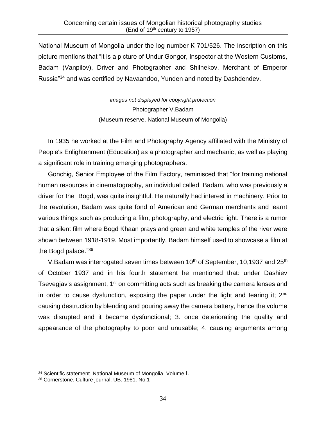National Museum of Mongolia under the log number К-701/526. The inscription on this picture mentions that "it is a picture of Undur Gongor, Inspector at the Western Customs, Badam (Vanpilov), Driver and Photographer and Shilnekov, Merchant of Emperor Russia"<sup>34</sup> and was certified by Navaandoo, Yunden and noted by Dashdendev.

> *images not displayed for copyright protection* Photographer V.Badam (Museum reserve, National Museum of Mongolia)

In 1935 he worked at the Film and Photography Agency affiliated with the Ministry of People's Enlightenment (Education) as a photographer and mechanic, as well as playing a significant role in training emerging photographers.

Gonchig, Senior Employee of the Film Factory, reminisced that "for training national human resources in cinematography, an individual called Badam, who was previously a driver for the Bogd, was quite insightful. He naturally had interest in machinery. Prior to the revolution, Badam was quite fond of American and German merchants and learnt various things such as producing a film, photography, and electric light. There is a rumor that a silent film where Bogd Khaan prays and green and white temples of the river were shown between 1918-1919. Most importantly, Badam himself used to showcase a film at the Bogd palace."<sup>36</sup>

V. Badam was interrogated seven times between  $10<sup>th</sup>$  of September, 10, 1937 and 25<sup>th</sup> of October 1937 and in his fourth statement he mentioned that: under Dashiev Tsevegiav's assignment, 1<sup>st</sup> on committing acts such as breaking the camera lenses and in order to cause dysfunction, exposing the paper under the light and tearing it; 2<sup>nd</sup> causing destruction by blending and pouring away the camera battery, hence the volume was disrupted and it became dysfunctional; 3. once deteriorating the quality and appearance of the photography to poor and unusable; 4. causing arguments among

<sup>34</sup> Scientific statement. National Museum of Mongolia. Volume I.

<sup>36</sup> Cornerstone. Culture journal. UB. 1981. No.1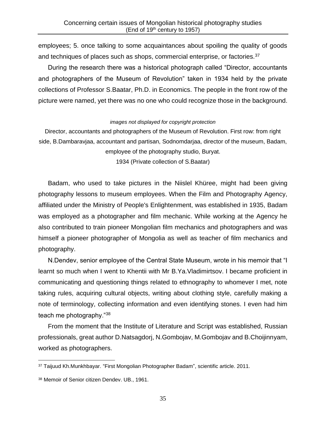employees; 5. once talking to some acquaintances about spoiling the quality of goods and techniques of places such as shops, commercial enterprise, or factories.<sup>37</sup>

During the research there was a historical photograph called "Director, accountants and photographers of the Museum of Revolution" taken in 1934 held by the private collections of Professor S.Baatar, Ph.D. in Economics. The people in the front row of the picture were named, yet there was no one who could recognize those in the background.

#### *images not displayed for copyright protection*

Director, accountants and photographers of the Museum of Revolution. First row: from right side, B.Dambaravjaa, accountant and partisan, Sodnomdarjaa, director of the museum, Badam, employee of the photography studio, Buryat.

1934 (Private collection of S.Baatar)

Badam, who used to take pictures in the Niislel Khüree, might had been giving photography lessons to museum employees. When the Film and Photography Agency, affiliated under the Ministry of People's Enlightenment, was established in 1935, Badam was employed as a photographer and film mechanic. While working at the Agency he also contributed to train pioneer Mongolian film mechanics and photographers and was himself a pioneer photographer of Mongolia as well as teacher of film mechanics and photography.

N.Dendev, senior employee of the Central State Museum, wrote in his memoir that "I learnt so much when I went to Khentii with Mr B.Ya.Vladimirtsov. I became proficient in communicating and questioning things related to ethnography to whomever I met, note taking rules, acquiring cultural objects, writing about clothing style, carefully making a note of terminology, collecting information and even identifying stones. I even had him teach me photography."<sup>38</sup>

From the moment that the Institute of Literature and Script was established, Russian professionals, great author D.Natsagdorj, N.Gombojav, M.Gombojav and B.Choijinnyam, worked as photographers.

<sup>37</sup> Taijuud Kh.Munkhbayar. "First Mongolian Photographer Badam", scientific article. 2011.

<sup>38</sup> Memoir of Senior citizen Dendev. UB., 1961.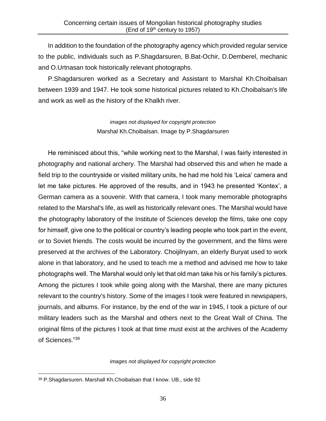In addition to the foundation of the photography agency which provided regular service to the public, individuals such as P.Shagdarsuren, B.Bat-Ochir, D.Demberel, mechanic and O.Urtnasan took historically relevant photographs.

P.Shagdarsuren worked as a Secretary and Assistant to Marshal Kh.Choibalsan between 1939 and 1947. He took some historical pictures related to Kh.Choibalsan's life and work as well as the history of the Khalkh river.

> *images not displayed for copyright protection* Marshal Kh.Choibalsan. Image by P.Shagdarsuren

He reminisced about this, "while working next to the Marshal, I was fairly interested in photography and national archery. The Marshal had observed this and when he made a field trip to the countryside or visited military units, he had me hold his 'Leica' camera and let me take pictures. He approved of the results, and in 1943 he presented 'Kontex', a German camera as a souvenir. With that camera, I took many memorable photographs related to the Marshal's life, as well as historically relevant ones. The Marshal would have the photography laboratory of the Institute of Sciences develop the films, take one copy for himself, give one to the political or country's leading people who took part in the event, or to Soviet friends. The costs would be incurred by the government, and the films were preserved at the archives of the Laboratory. Choijilnyam, an elderly Buryat used to work alone in that laboratory, and he used to teach me a method and advised me how to take photographs well. The Marshal would only let that old man take his or his family's pictures. Among the pictures I took while going along with the Marshal, there are many pictures relevant to the country's history. Some of the images I took were featured in newspapers, journals, and albums. For instance, by the end of the war in 1945, I took a picture of our military leaders such as the Marshal and others next to the Great Wall of China. The original films of the pictures I took at that time must exist at the archives of the Academy of Sciences." 39

#### *images not displayed for copyright protection*

<sup>39</sup> P.Shagdarsuren. Marshall Kh.Choibalsan that I know. UB., side 92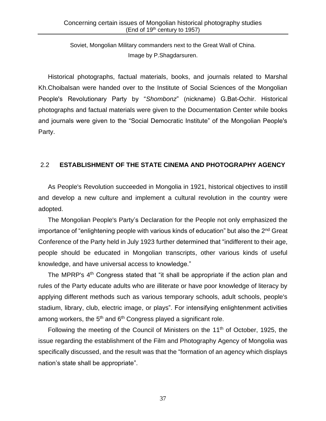Soviet, Mongolian Military commanders next to the Great Wall of China. Image by P.Shagdarsuren.

Historical photographs, factual materials, books, and journals related to Marshal Kh.Choibalsan were handed over to the Institute of Social Sciences of the Mongolian People's Revolutionary Party by "*Shombonz*" (nickname) G.Bat-Ochir. Historical photographs and factual materials were given to the Documentation Center while books and journals were given to the "Social Democratic Institute" of the Mongolian People's Party.

### 2.2 **ESTABLISHMENT OF THE STATE CINEMA AND PHOTOGRAPHY AGENCY**

As People's Revolution succeeded in Mongolia in 1921, historical objectives to instill and develop a new culture and implement a cultural revolution in the country were adopted.

The Mongolian People's Party's Declaration for the People not only emphasized the importance of "enlightening people with various kinds of education" but also the 2<sup>nd</sup> Great Conference of the Party held in July 1923 further determined that "indifferent to their age, people should be educated in Mongolian transcripts, other various kinds of useful knowledge, and have universal access to knowledge."

The MPRP's 4<sup>th</sup> Congress stated that "it shall be appropriate if the action plan and rules of the Party educate adults who are illiterate or have poor knowledge of literacy by applying different methods such as various temporary schools, adult schools, people's stadium, library, club, electric image, or plays". For intensifying enlightenment activities among workers, the 5<sup>th</sup> and 6<sup>th</sup> Congress played a significant role.

Following the meeting of the Council of Ministers on the  $11<sup>th</sup>$  of October, 1925, the issue regarding the establishment of the Film and Photography Agency of Mongolia was specifically discussed, and the result was that the "formation of an agency which displays nation's state shall be appropriate".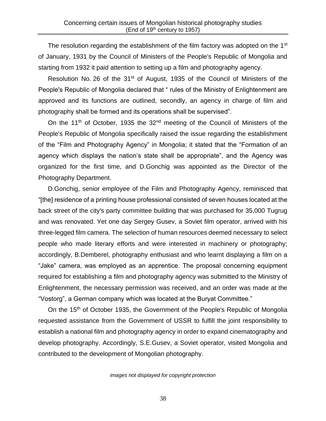The resolution regarding the establishment of the film factory was adopted on the 1<sup>st</sup> of January, 1931 by the Council of Ministers of the People's Republic of Mongolia and starting from 1932 it paid attention to setting up a film and photography agency.

Resolution No. 26 of the 31<sup>st</sup> of August, 1935 of the Council of Ministers of the People's Republic of Mongolia declared that " rules of the Ministry of Enlightenment are approved and its functions are outlined, secondly, an agency in charge of film and photography shall be formed and its operations shall be supervised".

On the 11<sup>th</sup> of October, 1935 the  $32<sup>nd</sup>$  meeting of the Council of Ministers of the People's Republic of Mongolia specifically raised the issue regarding the establishment of the "Film and Photography Agency" in Mongolia; it stated that the "Formation of an agency which displays the nation's state shall be appropriate", and the Agency was organized for the first time, and D.Gonchig was appointed as the Director of the Photography Department.

D.Gonchig, senior employee of the Film and Photography Agency, reminisced that "[the] residence of a printing house professional consisted of seven houses located at the back street of the city's party committee building that was purchased for 35,000 Tugrug and was renovated. Yet one day Sergey Gusev, a Soviet film operator, arrived with his three-legged film camera. The selection of human resources deemed necessary to select people who made literary efforts and were interested in machinery or photography; accordingly, B.Demberel, photography enthusiast and who learnt displaying a film on a "Jake" camera, was employed as an apprentice. The proposal concerning equipment required for establishing a film and photography agency was submitted to the Ministry of Enlightenment, the necessary permission was received, and an order was made at the "Vostorg", a German company which was located at the Buryat Committee."

On the 15<sup>th</sup> of October 1935, the Government of the People's Republic of Mongolia requested assistance from the Government of USSR to fulfill the joint responsibility to establish a national film and photography agency in order to expand cinematography and develop photography. Accordingly, S.E.Gusev, a Soviet operator, visited Mongolia and contributed to the development of Mongolian photography.

*images not displayed for copyright protection*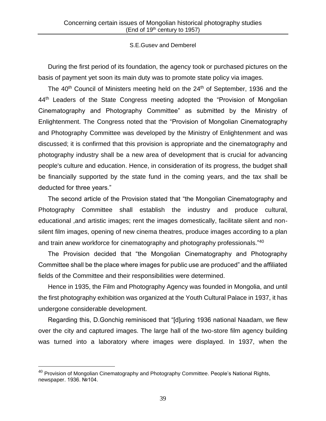### S.E.Gusev and Demberel

During the first period of its foundation, the agency took or purchased pictures on the basis of payment yet soon its main duty was to promote state policy via images.

The 40<sup>th</sup> Council of Ministers meeting held on the 24<sup>th</sup> of September, 1936 and the 44<sup>th</sup> Leaders of the State Congress meeting adopted the "Provision of Mongolian Cinematography and Photography Committee" as submitted by the Ministry of Enlightenment. The Congress noted that the "Provision of Mongolian Cinematography and Photography Committee was developed by the Ministry of Enlightenment and was discussed; it is confirmed that this provision is appropriate and the cinematography and photography industry shall be a new area of development that is crucial for advancing people's culture and education. Hence, in consideration of its progress, the budget shall be financially supported by the state fund in the coming years, and the tax shall be deducted for three years."

The second article of the Provision stated that "the Mongolian Cinematography and Photography Committee shall establish the industry and produce cultural, educational ,and artistic images; rent the images domestically, facilitate silent and nonsilent film images, opening of new cinema theatres, produce images according to a plan and train anew workforce for cinematography and photography professionals."<sup>40</sup>

The Provision decided that "the Mongolian Cinematography and Photography Committee shall be the place where images for public use are produced" and the affiliated fields of the Committee and their responsibilities were determined.

Hence in 1935, the Film and Photography Agency was founded in Mongolia, and until the first photography exhibition was organized at the Youth Cultural Palace in 1937, it has undergone considerable development.

Regarding this, D.Gonchig reminisced that "[d]uring 1936 national Naadam, we flew over the city and captured images. The large hall of the two-store film agency building was turned into a laboratory where images were displayed. In 1937, when the

 $^{40}$  Provision of Mongolian Cinematography and Photography Committee. People's National Rights, newspaper. 1936. №104.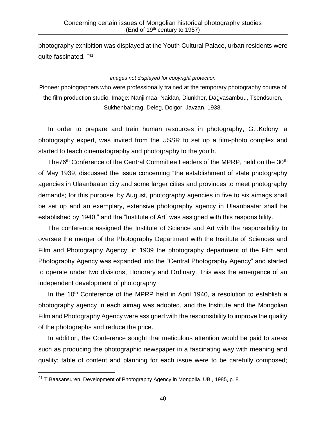photography exhibition was displayed at the Youth Cultural Palace, urban residents were quite fascinated. "<sup>41</sup>

#### *images not displayed for copyright protection*

Pioneer photographers who were professionally trained at the temporary photography course of the film production studio. Image: Nanjilmaa, Naidan, Diunkher, Dagvasambuu, Tsendsuren, Sukhenbaidrag, Deleg, Dolgor, Javzan. 1938.

In order to prepare and train human resources in photography, G.I.Kolony, a photography expert, was invited from the USSR to set up a film-photo complex and started to teach cinematography and photography to the youth.

The76<sup>th</sup> Conference of the Central Committee Leaders of the MPRP, held on the 30<sup>th</sup> of May 1939, discussed the issue concerning "the establishment of state photography agencies in Ulaanbaatar city and some larger cities and provinces to meet photography demands; for this purpose, by August, photography agencies in five to six aimags shall be set up and an exemplary, extensive photography agency in Ulaanbaatar shall be established by 1940," and the "Institute of Art" was assigned with this responsibility.

The conference assigned the Institute of Science and Art with the responsibility to oversee the merger of the Photography Department with the Institute of Sciences and Film and Photography Agency; in 1939 the photography department of the Film and Photography Agency was expanded into the "Central Photography Agency" and started to operate under two divisions, Honorary and Ordinary. This was the emergence of an independent development of photography.

In the  $10<sup>th</sup>$  Conference of the MPRP held in April 1940, a resolution to establish a photography agency in each aimag was adopted, and the Institute and the Mongolian Film and Photography Agency were assigned with the responsibility to improve the quality of the photographs and reduce the price.

In addition, the Conference sought that meticulous attention would be paid to areas such as producing the photographic newspaper in a fascinating way with meaning and quality; table of content and planning for each issue were to be carefully composed;

 $41$  T.Baasansuren. Development of Photography Agency in Mongolia. UB., 1985, p. 8.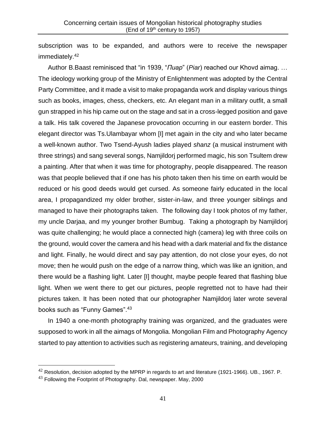subscription was to be expanded, and authors were to receive the newspaper immediately.<sup>42</sup>

Author B.Baast reminisced that "in 1939, "*Пиар*" (*Piar*) reached our Khovd aimag. … The ideology working group of the Ministry of Enlightenment was adopted by the Central Party Committee, and it made a visit to make propaganda work and display various things such as books, images, chess, checkers, etc. An elegant man in a military outfit, a small gun strapped in his hip came out on the stage and sat in a cross-legged position and gave a talk. His talk covered the Japanese provocation occurring in our eastern border. This elegant director was Ts.Ulambayar whom [I] met again in the city and who later became a well-known author. Two Tsend-Ayush ladies played *shanz* (a musical instrument with three strings) and sang several songs, Namjildorj performed magic, his son Tsultem drew a painting. After that when it was time for photography, people disappeared. The reason was that people believed that if one has his photo taken then his time on earth would be reduced or his good deeds would get cursed. As someone fairly educated in the local area, I propagandized my older brother, sister-in-law, and three younger siblings and managed to have their photographs taken. The following day I took photos of my father, my uncle Darjaa, and my younger brother Bumbug. Taking a photograph by Namjildorj was quite challenging; he would place a connected high (camera) leg with three coils on the ground, would cover the camera and his head with a dark material and fix the distance and light. Finally, he would direct and say pay attention, do not close your eyes, do not move; then he would push on the edge of a narrow thing, which was like an ignition, and there would be a flashing light. Later [I] thought, maybe people feared that flashing blue light. When we went there to get our pictures, people regretted not to have had their pictures taken. It has been noted that our photographer Namjildorj later wrote several books such as "Funny Games". 43

In 1940 a one-month photography training was organized, and the graduates were supposed to work in all the aimags of Mongolia. Mongolian Film and Photography Agency started to pay attention to activities such as registering amateurs, training, and developing

 $42$  Resolution, decision adopted by the MPRP in regards to art and literature (1921-1966). UB., 1967. P.

 $43$  Following the Footprint of Photography. Dal, newspaper. May, 2000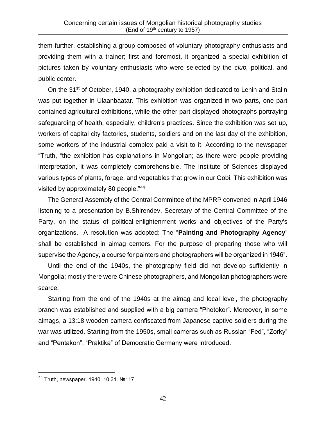them further, establishing a group composed of voluntary photography enthusiasts and providing them with a trainer; first and foremost, it organized a special exhibition of pictures taken by voluntary enthusiasts who were selected by the *club,* political, and public center.

On the 31<sup>st</sup> of October, 1940, a photography exhibition dedicated to Lenin and Stalin was put together in Ulaanbaatar. This exhibition was organized in two parts, one part contained agricultural exhibitions, while the other part displayed photographs portraying safeguarding of health, especially, children's practices. Since the exhibition was set up, workers of capital city factories, students, soldiers and on the last day of the exhibition, some workers of the industrial complex paid a visit to it. According to the newspaper "Truth, "the exhibition has explanations in Mongolian; as there were people providing interpretation, it was completely comprehensible. The Institute of Sciences displayed various types of plants, forage, and vegetables that grow in our Gobi. This exhibition was visited by approximately 80 people."<sup>44</sup>

The General Assembly of the Central Committee of the MPRP convened in April 1946 listening to a presentation by B.Shirendev, Secretary of the Central Committee of the Party, on the status of political-enlightenment works and objectives of the Party's organizations. A resolution was adopted: The "**Painting and Photography Agency**" shall be established in aimag centers. For the purpose of preparing those who will supervise the Agency, a course for painters and photographers will be organized in 1946".

Until the end of the 1940s, the photography field did not develop sufficiently in Mongolia; mostly there were Chinese photographers, and Mongolian photographers were scarce.

Starting from the end of the 1940s at the aimag and local level, the photography branch was established and supplied with a big camera "Photokor". Moreover, in some aimags, a 13:18 wooden camera confiscated from Japanese captive soldiers during the war was utilized. Starting from the 1950s, small cameras such as Russian "Fed", "Zorky" and "Pentakon", "Praktika" of Democratic Germany were introduced.

<sup>44</sup> Truth, newspaper. 1940. 10.31. №117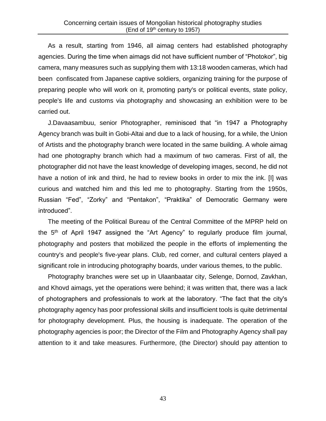As a result, starting from 1946, all aimag centers had established photography agencies. During the time when aimags did not have sufficient number of "Photokor", big camera, many measures such as supplying them with 13:18 wooden cameras, which had been confiscated from Japanese captive soldiers, organizing training for the purpose of preparing people who will work on it, promoting party's or political events, state policy, people's life and customs via photography and showcasing an exhibition were to be carried out.

J.Davaasambuu, senior Photographer, reminisced that "in 1947 a Photography Agency branch was built in Gobi-Altai and due to a lack of housing, for a while, the Union of Artists and the photography branch were located in the same building. A whole aimag had one photography branch which had a maximum of two cameras. First of all, the photographer did not have the least knowledge of developing images, second, he did not have a notion of ink and third, he had to review books in order to mix the ink. [I] was curious and watched him and this led me to photography. Starting from the 1950s, Russian "Fed", "Zorky" and "Pentakon", "Praktika" of Democratic Germany were introduced".

The meeting of the Political Bureau of the Central Committee of the MPRP held on the 5th of April 1947 assigned the "Art Agency" to regularly produce film journal, photography and posters that mobilized the people in the efforts of implementing the country's and people's five-year plans. Club, red corner, and cultural centers played a significant role in introducing photography boards, under various themes, to the public.

Photography branches were set up in Ulaanbaatar city, Selenge, Dornod, Zavkhan, and Khovd aimags, yet the operations were behind; it was written that, there was a lack of photographers and professionals to work at the laboratory. "The fact that the city's photography agency has poor professional skills and insufficient tools is quite detrimental for photography development. Plus, the housing is inadequate. The operation of the photography agencies is poor; the Director of the Film and Photography Agency shall pay attention to it and take measures. Furthermore, (the Director) should pay attention to

43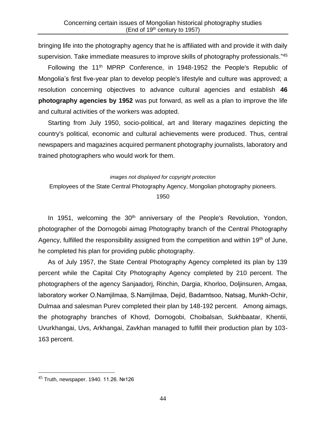bringing life into the photography agency that he is affiliated with and provide it with daily supervision. Take immediate measures to improve skills of photography professionals."<sup>45</sup>

Following the 11<sup>th</sup> MPRP Conference, in 1948-1952 the People's Republic of Mongolia's first five-year plan to develop people's lifestyle and culture was approved; a resolution concerning objectives to advance cultural agencies and establish **46 photography agencies by 1952** was put forward, as well as a plan to improve the life and cultural activities of the workers was adopted.

Starting from July 1950, socio-political, art and literary magazines depicting the country's political, economic and cultural achievements were produced. Thus, central newspapers and magazines acquired permanent photography journalists, laboratory and trained photographers who would work for them.

#### *images not displayed for copyright protection*

Employees of the State Central Photography Agency, Mongolian photography pioneers.

1950

In 1951, welcoming the  $30<sup>th</sup>$  anniversary of the People's Revolution, Yondon, photographer of the Dornogobi aimag Photography branch of the Central Photography Agency, fulfilled the responsibility assigned from the competition and within 19<sup>th</sup> of June, he completed his plan for providing public photography.

As of July 1957, the State Central Photography Agency completed its plan by 139 percent while the Capital City Photography Agency completed by 210 percent. The photographers of the agency Sanjaadorj, Rinchin, Dargia, Khorloo, Doljinsuren, Amgaa, laboratory worker О.Namjilmaa, S.Namjilmaa, Dejid, Badamtsoo, Natsag, Munkh-Ochir, Dulmaa and salesman Purev completed their plan by 148-192 percent. Among aimags, the photography branches of Khovd, Dornogobi, Choibalsan, Sukhbaatar, Khentii, Uvurkhangai, Uvs, Arkhangai, Zavkhan managed to fulfill their production plan by 103- 163 percent.

<sup>45</sup> Truth, newspaper. 1940. 11.26. №126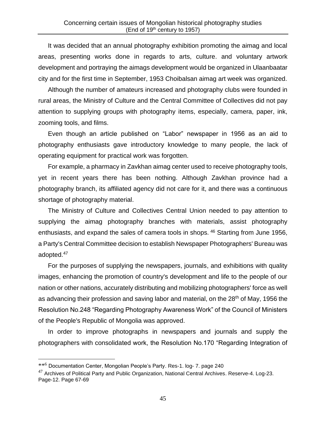It was decided that an annual photography exhibition promoting the aimag and local areas, presenting works done in regards to arts, culture. and voluntary artwork development and portraying the aimags development would be organized in Ulaanbaatar city and for the first time in September, 1953 Choibalsan aimag art week was organized.

Although the number of amateurs increased and photography clubs were founded in rural areas, the Ministry of Culture and the Central Committee of Collectives did not pay attention to supplying groups with photography items, especially, camera, paper, ink, zooming tools, and films.

Even though an article published on "Labor" newspaper in 1956 as an aid to photography enthusiasts gave introductory knowledge to many people, the lack of operating equipment for practical work was forgotten.

For example, a pharmacy in Zavkhan aimag center used to receive photography tools, yet in recent years there has been nothing. Although Zavkhan province had a photography branch, its affiliated agency did not care for it, and there was a continuous shortage of photography material.

The Ministry of Culture and Collectives Central Union needed to pay attention to supplying the aimag photography branches with materials, assist photography enthusiasts, and expand the sales of camera tools in shops. <sup>46</sup> Starting from June 1956, a Party's Central Committee decision to establish Newspaper Photographers' Bureau was adopted.<sup>47</sup>

For the purposes of supplying the newspapers, journals, and exhibitions with quality images, enhancing the promotion of country's development and life to the people of our nation or other nations, accurately distributing and mobilizing photographers' force as well as advancing their profession and saving labor and material, on the  $28<sup>th</sup>$  of May, 1956 the Resolution No.248 "Regarding Photography Awareness Work" of the Council of Ministers of the People's Republic of Mongolia was approved.

In order to improve photographs in newspapers and journals and supply the photographers with consolidated work, the Resolution No.170 "Regarding Integration of

<sup>\*\*</sup><sup>6</sup> Documentation Center, Mongolian People's Party. Res-1. log- 7. page 240

 $47$  Archives of Political Party and Public Organization, National Central Archives. Reserve-4. Log-23. Page-12. Page 67-69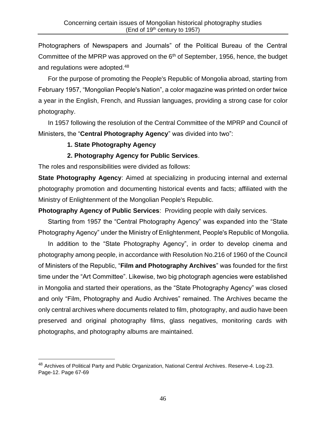Photographers of Newspapers and Journals" of the Political Bureau of the Central Committee of the MPRP was approved on the  $6<sup>th</sup>$  of September, 1956, hence, the budget and regulations were adopted.<sup>48</sup>

For the purpose of promoting the People's Republic of Mongolia abroad, starting from February 1957, "Mongolian People's Nation", a color magazine was printed on order twice a year in the English, French, and Russian languages, providing a strong case for color photography.

In 1957 following the resolution of the Central Committee of the MPRP and Council of Ministers, the "**Central Photography Agency**" was divided into two":

## **1. State Photography Agency**

## **2. Photography Agency for Public Services**.

The roles and responsibilities were divided as follows:

**State Photography Agency**: Aimed at specializing in producing internal and external photography promotion and documenting historical events and facts; affiliated with the Ministry of Enlightenment of the Mongolian People's Republic.

**Photography Agency of Public Services**: Providing people with daily services.

Starting from 1957 the "Central Photography Agency" was expanded into the "State Photography Agency" under the Ministry of Enlightenment, People's Republic of Mongolia.

In addition to the "State Photography Agency", in order to develop cinema and photography among people, in accordance with Resolution No.216 of 1960 of the Council of Ministers of the Republic, "**Film and Photography Archives**" was founded for the first time under the "Art Committee". Likewise, two big photograph agencies were established in Mongolia and started their operations, as the "State Photography Agency" was closed and only "Film, Photography and Audio Archives" remained. The Archives became the only central archives where documents related to film, photography, and audio have been preserved and original photography films, glass negatives, monitoring cards with photographs, and photography albums are maintained.

 $48$  Archives of Political Party and Public Organization, National Central Archives. Reserve-4. Log-23. Page-12. Page 67-69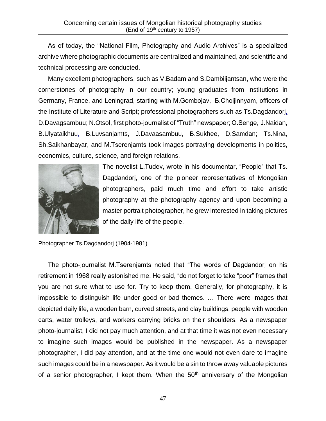As of today, the "National Film, Photography and Audio Archives" is a specialized archive where photographic documents are centralized and maintained, and scientific and technical processing are conducted.

Many excellent photographers, such as V.Badam and S.Dambiijantsan, who were the cornerstones of photography in our country; young graduates from institutions in Germany, France, and Leningrad, starting with М.Gombojav, Б.Choijinnyam, officers of the Institute of Literature and Script; professional photographers such as Ts.Dagdandorj, D.Davagsambuu; N.Otsol, first photo-journalist of "Truth" newspaper; O.Senge, J.Naidan, B.Ulyataikhuu, B.Luvsanjamts, J.Davaasambuu, B.Sukhee, D.Samdan; Ts.Nina, Sh.Saikhanbayar, and М.Tserenjamts took images portraying developments in politics, economics, culture, science, and foreign relations.



The novelist L.Tudev, wrote in his documentar, "People" that Ts. Dagdandorj, one of the pioneer representatives of Mongolian photographers, paid much time and effort to take artistic photography at the photography agency and upon becoming a master portrait photographer, he grew interested in taking pictures of the daily life of the people.

Photographer Ts.Dagdandorj (1904-1981)

The photo-journalist М.Tserenjamts noted that "The words of Dagdandorj on his retirement in 1968 really astonished me. He said, "do not forget to take "poor" frames that you are not sure what to use for. Try to keep them. Generally, for photography, it is impossible to distinguish life under good or bad themes. … There were images that depicted daily life, a wooden barn, curved streets, and clay buildings, people with wooden carts, water trolleys, and workers carrying bricks on their shoulders. As a newspaper photo-journalist, I did not pay much attention, and at that time it was not even necessary to imagine such images would be published in the newspaper. As a newspaper photographer, I did pay attention, and at the time one would not even dare to imagine such images could be in a newspaper. As it would be a sin to throw away valuable pictures of a senior photographer, I kept them. When the  $50<sup>th</sup>$  anniversary of the Mongolian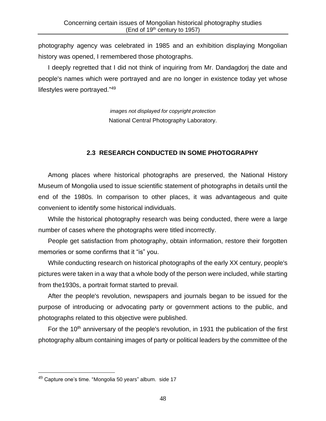photography agency was celebrated in 1985 and an exhibition displaying Mongolian history was opened, I remembered those photographs.

I deeply regretted that I did not think of inquiring from Mr. Dandagdorj the date and people's names which were portrayed and are no longer in existence today yet whose lifestyles were portrayed."<sup>49</sup>

> *images not displayed for copyright protection* National Central Photography Laboratory.

### **2.3 RESEARCH CONDUCTED IN SOME PHOTOGRAPHY**

Among places where historical photographs are preserved, the National History Museum of Mongolia used to issue scientific statement of photographs in details until the end of the 1980s. In comparison to other places, it was advantageous and quite convenient to identify some historical individuals.

While the historical photography research was being conducted, there were a large number of cases where the photographs were titled incorrectly.

People get satisfaction from photography, obtain information, restore their forgotten memories or some confirms that it "is" you.

While conducting research on historical photographs of the early XX century, people's pictures were taken in a way that a whole body of the person were included, while starting from the1930s, a portrait format started to prevail.

After the people's revolution, newspapers and journals began to be issued for the purpose of introducing or advocating party or government actions to the public, and photographs related to this objective were published.

For the  $10<sup>th</sup>$  anniversary of the people's revolution, in 1931 the publication of the first photography album containing images of party or political leaders by the committee of the

 $49$  Capture one's time. "Mongolia 50 years" album. side 17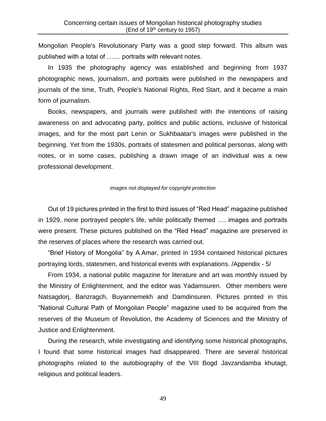Mongolian People's Revolutionary Party was a good step forward. This album was published with a total of ….... portraits with relevant notes.

In 1935 the photography agency was established and beginning from 1937 photographic news, journalism, and portraits were published in the newspapers and journals of the time, Truth, People's National Rights, Red Start, and it became a main form of journalism.

Books, newspapers, and journals were published with the intentions of raising awareness on and advocating party, politics and public actions, inclusive of historical images, and for the most part Lenin or Sukhbaatar's images were published in the beginning. Yet from the 1930s, portraits of statesmen and political personas, along with notes, or in some cases, publishing a drawn image of an individual was a new professional development.

#### *images not displayed for copyright protection*

Out of 19 pictures printed in the first to third issues of "Red Head" magazine published in 1929, none portrayed people's life, while politically themed …. images and portraits were present. These pictures published on the "Red Head" magazine are preserved in the reserves of places where the research was carried out.

"Brief History of Mongolia" by A.Amar, printed in 1934 contained historical pictures portraying lords, statesmen, and historical events with explanations. /Appendix - 5/

From 1934, a national public magazine for literature and art was monthly issued by the Ministry of Enlightenment, and the editor was Yadamsuren. Other members were Natsagdorj, Banzragch, Buyannemekh and Damdinsuren. Pictures printed in this "National Cultural Path of Mongolian People" magazine used to be acquired from the reserves of the Museum of Revolution, the Academy of Sciences and the Ministry of Justice and Enlightenment.

During the research, while investigating and identifying some historical photographs, I found that some historical images had disappeared. There are several historical photographs related to the autobiography of the VIII Bogd Javzandamba khutagt, religious and political leaders.

49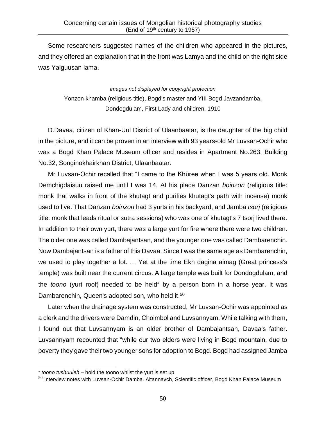Some researchers suggested names of the children who appeared in the pictures, and they offered an explanation that in the front was Lamya and the child on the right side was Yalguusan lama.

> *images not displayed for copyright protection* Yonzon khamba (religious title), Bogd's master and YIII Bogd Javzandamba, Dondogdulam, First Lady and children. 1910

D.Davaa, citizen of Khan-Uul District of Ulaanbaatar, is the daughter of the big child in the picture, and it can be proven in an interview with 93 years-old Mr Luvsan-Ochir who was a Bogd Khan Palace Museum officer and resides in Apartment No.263, Building No.32, Songinokhairkhan District, Ulaanbaatar.

Mr Luvsan-Ochir recalled that "I came to the Khüree when I was 5 years old. Monk Demchigdaisuu raised me until I was 14. At his place Danzan *boinzon* (religious title: monk that walks in front of the khutagt and purifies khutagt's path with incense) monk used to live. That Danzan *boinzon* had 3 yurts in his backyard, and Jamba *tsorj* (religious title: monk that leads ritual or sutra sessions) who was one of khutagt's 7 tsorj lived there. In addition to their own yurt, there was a large yurt for fire where there were two children. The older one was called Dambajantsan, and the younger one was called Dambarenchin. Now Dambajantsan is a father of this Davaa. Since I was the same age as Dambarenchin, we used to play together a lot. … Yet at the time Ekh dagina aimag (Great princess's temple) was built near the current circus. A large temple was built for Dondogdulam, and the *toono* (yurt roof) needed to be held<sup>\*</sup> by a person born in a horse year. It was Dambarenchin, Queen's adopted son, who held it.<sup>50</sup>

Later when the drainage system was constructed, Mr Luvsan-Ochir was appointed as a clerk and the drivers were Damdin, Choimbol and Luvsannyam. While talking with them, I found out that Luvsannyam is an older brother of Dambajantsan, Davaa's father. Luvsannyam recounted that "while our two elders were living in Bogd mountain, due to poverty they gave their two younger sons for adoption to Bogd. Bogd had assigned Jamba

*toono tushuuleh –* hold the toono whilst the yurt is set up

 $50$  Interview notes with Luvsan-Ochir Damba. Altannavch, Scientific officer, Bogd Khan Palace Museum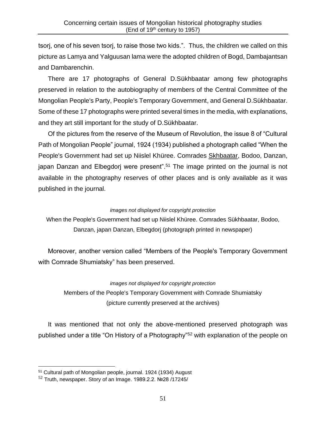tsorj, one of his seven tsorj, to raise those two kids.". Thus, the children we called on this picture as Lamya and Yalguusan lama were the adopted children of Bogd, Dambajantsan and Dambarenchin.

There are 17 photographs of General D.Sükhbaatar among few photographs preserved in relation to the autobiography of members of the Central Committee of the Mongolian People's Party, People's Temporary Government, and General D.Sükhbaatar. Some of these 17 photographs were printed several times in the media, with explanations, and they art still important for the study of D.Sükhbaatar.

Of the pictures from the reserve of the Museum of Revolution, the issue 8 of "Cultural Path of Mongolian People" journal, 1924 (1934) published a photograph called "When the People's Government had set up Niislel Khüree. Comrades Skhbaatar, Bodoo, Danzan, japan Danzan and Elbegdorj were present".<sup>51</sup> The image printed on the journal is not available in the photography reserves of other places and is only available as it was published in the journal.

### *images not displayed for copyright protection*

When the People's Government had set up Niislel Khüree. Comrades Sükhbaatar, Bodoo, Danzan, japan Danzan, Elbegdorj (photograph printed in newspaper)

Moreover, another version called "Members of the People's Temporary Government with Comrade Shumiatsky" has been preserved.

#### *images not displayed for copyright protection*

Members of the People's Temporary Government with Comrade Shumiatsky (picture currently preserved at the archives)

It was mentioned that not only the above-mentioned preserved photograph was published under a title "On History of a Photography"<sup>52</sup> with explanation of the people on

<sup>51</sup> Cultural path of Mongolian people, journal. 1924 (1934) August

<sup>52</sup> Truth, newspaper. Story of an Image. 1989.2.2. №28 /17245/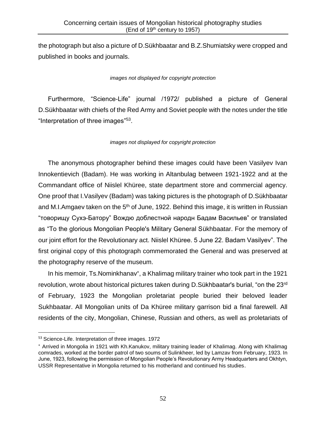the photograph but also a picture of D.Sükhbaatar and B.Z.Shumiatsky were cropped and published in books and journals.

### *images not displayed for copyright protection*

Furthermore, "Science-Life" journal /1972/ published a picture of General D.Sükhbaatar with chiefs of the Red Army and Soviet people with the notes under the title "Interpretation of three images"<sup>53</sup>.

### *images not displayed for copyright protection*

The anonymous photographer behind these images could have been Vasilyev Ivan Innokentievich (Badam). He was working in Altanbulag between 1921-1922 and at the Commandant office of Niislel Khüree, state department store and commercial agency. One proof that I.Vasilyev (Badam) was taking pictures is the photograph of D.Sükhbaatar and M.I.Amgaev taken on the  $5<sup>th</sup>$  of June, 1922. Behind this image, it is written in Russian "товорищу Сухэ-Батору" Вождю доблестной народн Бадам Васильев" or translated as "To the glorious Mongolian People's Military General Sükhbaatar. For the memory of our joint effort for the Revolutionary act. Niislel Khüree. 5 June 22. Badam Vasilyev". The first original copy of this photograph commemorated the General and was preserved at the photography reserve of the museum.

In his memoir, Ts.Nominkhanav\*, a Khalimag military trainer who took part in the 1921 revolution, wrote about historical pictures taken during D.Sükhbaatar's burial, "on the 23rd of February, 1923 the Mongolian proletariat people buried their beloved leader Sukhbaatar. All Mongolian units of Da Khüree military garrison bid a final farewell. All residents of the city, Mongolian, Chinese, Russian and others, as well as proletariats of

<sup>53</sup> Science-Life. Interpretation of three images. 1972

Arrived in Mongolia in 1921 with Kh.Kanukov, military training leader of Khalimag. Along with Khalimag comrades, worked at the border patrol of two soums of Sulinkheer, led by Lamzav from February, 1923. In June, 1923, following the permission of Mongolian People's Revolutionary Army Headquarters and Okhtyn, USSR Representative in Mongolia returned to his motherland and continued his studies.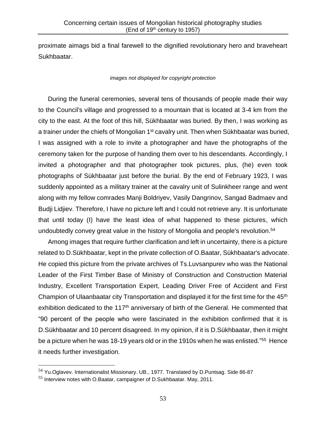proximate aimags bid a final farewell to the dignified revolutionary hero and braveheart Sukhbaatar.

*images not displayed for copyright protection*

During the funeral ceremonies, several tens of thousands of people made their way to the Council's village and progressed to a mountain that is located at 3-4 km from the city to the east. At the foot of this hill, Sükhbaatar was buried. By then, I was working as a trainer under the chiefs of Mongolian 1<sup>st</sup> cavalry unit. Then when Sükhbaatar was buried, I was assigned with a role to invite a photographer and have the photographs of the ceremony taken for the purpose of handing them over to his descendants. Accordingly, I invited a photographer and that photographer took pictures, plus, (he) even took photographs of Sükhbaatar just before the burial. By the end of February 1923, I was suddenly appointed as a military trainer at the cavalry unit of Sulinkheer range and went along with my fellow comrades Manji Boldriyev, Vasily Dangrinov, Sangad Badmaev and Budji Lidjiev. Therefore, I have no picture left and I could not retrieve any. It is unfortunate that until today (I) have the least idea of what happened to these pictures, which undoubtedly convey great value in the history of Mongolia and people's revolution.<sup>54</sup>

Among images that require further clarification and left in uncertainty, there is a picture related to D.Sükhbaatar, kept in the private collection of O.Baatar, Sükhbaatar's advocate. He copied this picture from the private archives of Ts.Luvsanpurev who was the National Leader of the First Timber Base of Ministry of Construction and Construction Material Industry, Excellent Transportation Expert, Leading Driver Free of Accident and First Champion of Ulaanbaatar city Transportation and displayed it for the first time for the 45<sup>th</sup> exhibition dedicated to the  $117<sup>th</sup>$  anniversary of birth of the General. He commented that "90 percent of the people who were fascinated in the exhibition confirmed that it is D.Sükhbaatar and 10 percent disagreed. In my opinion, if it is D.Sükhbaatar, then it might be a picture when he was 18-19 years old or in the 1910s when he was enlisted."<sup>55</sup> Hence it needs further investigation.

<sup>54</sup> Yu.Oglavev. Internationalist Missionary. UB., 1977. Translated by D.Puntsag. Side 86-87

<sup>55</sup> Interview notes with O.Baatar, campaigner of D.Sukhbaatar. May, 2011.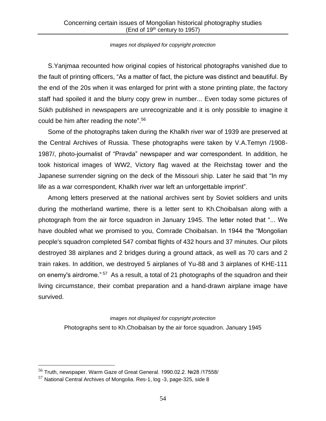#### *images not displayed for copyright protection*

S.Yanjmaa recounted how original copies of historical photographs vanished due to the fault of printing officers, "As a matter of fact, the picture was distinct and beautiful. By the end of the 20s when it was enlarged for print with a stone printing plate, the factory staff had spoiled it and the blurry copy grew in number... Even today some pictures of Sükh published in newspapers are unrecognizable and it is only possible to imagine it could be him after reading the note". 56

Some of the photographs taken during the Khalkh river war of 1939 are preserved at the Central Archives of Russia. These photographs were taken by V.A.Temyn /1908- 1987/, photo-journalist of "Pravda" newspaper and war correspondent. In addition, he took historical images of WW2, Victory flag waved at the Reichstag tower and the Japanese surrender signing on the deck of the Missouri ship. Later he said that "In my life as a war correspondent, Khalkh river war left an unforgettable imprint".

Among letters preserved at the national archives sent by Soviet soldiers and units during the motherland wartime, there is a letter sent to Kh.Choibalsan along with a photograph from the air force squadron in January 1945. The letter noted that "... We have doubled what we promised to you, Comrade Choibalsan. In 1944 the "Mongolian people's squadron completed 547 combat flights of 432 hours and 37 minutes. Our pilots destroyed 38 airplanes and 2 bridges during a ground attack, as well as 70 cars and 2 train rakes. In addition, we destroyed 5 airplanes of Yu-88 and 3 airplanes of KHE-111 on enemy's airdrome." <sup>57</sup> As a result, a total of 21 photographs of the squadron and their living circumstance, their combat preparation and a hand-drawn airplane image have survived.

> *images not displayed for copyright protection* Photographs sent to Kh.Choibalsan by the air force squadron. January 1945

<sup>56</sup> Truth, newspaper. Warm Gaze of Great General. 1990.02.2. №28 /17558/

<sup>57</sup> National Central Archives of Mongolia. Res-1, log -3, page-325, side 8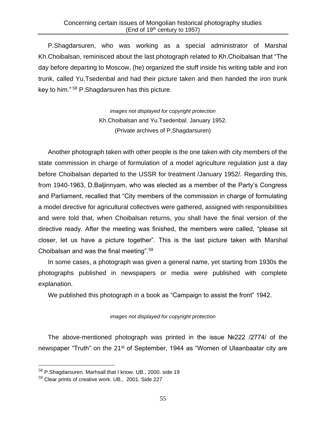P.Shagdarsuren, who was working as a special administrator of Marshal Kh.Choibalsan, reminisced about the last photograph related to Kh.Choibalsan that "The day before departing to Moscow, (he) organized the stuff inside his writing table and iron trunk, called Yu.Tsedenbal and had their picture taken and then handed the iron trunk key to him." <sup>58</sup> P.Shagdarsuren has this picture.

> *images not displayed for copyright protection* Kh.Choibalsan and Yu.Tsedenbal. January 1952. (Private archives of P.Shagdarsuren)

Another photograph taken with other people is the one taken with city members of the state commission in charge of formulation of a model agriculture regulation just a day before Choibalsan departed to the USSR for treatment /January 1952/. Regarding this, from 1940-1963, D.Baljinnyam, who was elected as a member of the Party's Congress and Parliament, recalled that "City members of the commission in charge of formulating a model directive for agricultural collectives were gathered, assigned with responsibilities and were told that, when Choibalsan returns, you shall have the final version of the directive ready. After the meeting was finished, the members were called, "please sit closer, let us have a picture together". This is the last picture taken with Marshal Choibalsan and was the final meeting".<sup>59</sup>

In some cases, a photograph was given a general name, yet starting from 1930s the photographs published in newspapers or media were published with complete explanation.

We published this photograph in a book as "Campaign to assist the front" 1942.

### *images not displayed for copyright protection*

The above-mentioned photograph was printed in the issue №222 /2774/ of the newspaper "Truth" on the 21<sup>st</sup> of September, 1944 as "Women of Ulaanbaatar city are

<sup>&</sup>lt;sup>58</sup> P.Shagdarsuren. Marhsall that I know. UB., 2000. side 19

<sup>&</sup>lt;sup>59</sup> Clear prints of creative work. UB., 2001. Side 227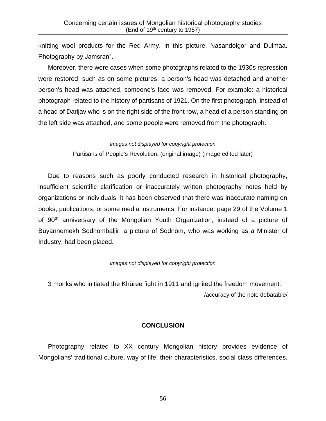knitting wool products for the Red Army. In this picture, Nasandolgor and Dulmaa. Photography by Jamsran".

Moreover, there were cases when some photographs related to the 1930s repression were restored, such as on some pictures, a person's head was detached and another person's head was attached, someone's face was removed. For example: a historical photograph related to the history of partisans of 1921. On the first photograph, instead of a head of Darijav who is on the right side of the front row, a head of a person standing on the left side was attached, and some people were removed from the photograph.

#### *images not displayed for copyright protection*

Partisans of People's Revolution. (original image) (image edited later)

Due to reasons such as poorly conducted research in historical photography, insufficient scientific clarification or inaccurately written photography notes held by organizations or individuals, it has been observed that there was inaccurate naming on books, publications, or some media instruments. For instance: page 29 of the Volume 1 of 90th anniversary of the Mongolian Youth Organization, instead of a picture of Buyannemekh Sodnombaljir, a picture of Sodnom, who was working as a Minister of Industry, had been placed.

#### *images not displayed for copyright protection*

3 monks who initiated the Khüree fight in 1911 and ignited the freedom movement. /accuracy of the note debatable/

### **CONCLUSION**

Photography related to XX century Mongolian history provides evidence of Mongolians' traditional culture, way of life, their characteristics, social class differences,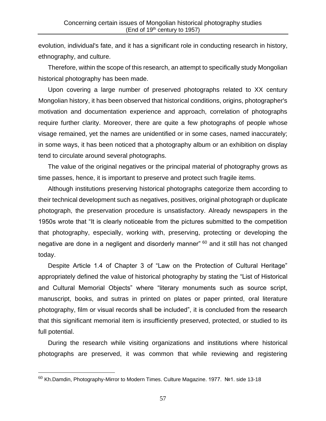evolution, individual's fate, and it has a significant role in conducting research in history, ethnography, and culture.

Therefore, within the scope of this research, an attempt to specifically study Mongolian historical photography has been made.

Upon covering a large number of preserved photographs related to XX century Mongolian history, it has been observed that historical conditions, origins, photographer's motivation and documentation experience and approach, correlation of photographs require further clarity. Moreover, there are quite a few photographs of people whose visage remained, yet the names are unidentified or in some cases, named inaccurately; in some ways, it has been noticed that a photography album or an exhibition on display tend to circulate around several photographs.

The value of the original negatives or the principal material of photography grows as time passes, hence, it is important to preserve and protect such fragile items.

Although institutions preserving historical photographs categorize them according to their technical development such as negatives, positives, original photograph or duplicate photograph, the preservation procedure is unsatisfactory. Already newspapers in the 1950s wrote that "It is clearly noticeable from the pictures submitted to the competition that photography, especially, working with, preserving, protecting or developing the negative are done in a negligent and disorderly manner" <sup>60</sup> and it still has not changed today.

Despite Article 1.4 of Chapter 3 of "Law on the Protection of Cultural Heritage" appropriately defined the value of historical photography by stating the "List of Historical and Cultural Memorial Objects" where "literary monuments such as source script, manuscript, books, and sutras in printed on plates or paper printed, oral literature photography, film or visual records shall be included", it is concluded from the research that this significant memorial item is insufficiently preserved, protected, or studied to its full potential.

During the research while visiting organizations and institutions where historical photographs are preserved, it was common that while reviewing and registering

 $60$  Kh.Damdin, Photography-Mirror to Modern Times. Culture Magazine. 1977. Nº1. side 13-18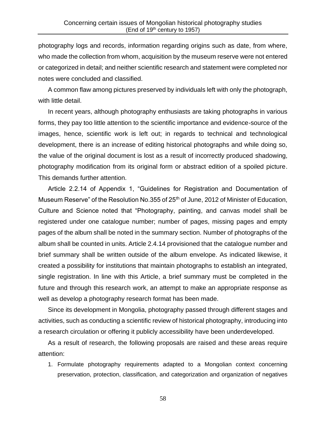photography logs and records, information regarding origins such as date, from where, who made the collection from whom, acquisition by the museum reserve were not entered or categorized in detail; and neither scientific research and statement were completed nor notes were concluded and classified.

A common flaw among pictures preserved by individuals left with only the photograph, with little detail.

In recent years, although photography enthusiasts are taking photographs in various forms, they pay too little attention to the scientific importance and evidence-source of the images, hence, scientific work is left out; in regards to technical and technological development, there is an increase of editing historical photographs and while doing so, the value of the original document is lost as a result of incorrectly produced shadowing, photography modification from its original form or abstract edition of a spoiled picture. This demands further attention.

Article 2.2.14 of Appendix 1, "Guidelines for Registration and Documentation of Museum Reserve" of the Resolution No.355 of 25<sup>th</sup> of June, 2012 of Minister of Education, Culture and Science noted that "Photography, painting, and canvas model shall be registered under one catalogue number; number of pages, missing pages and empty pages of the album shall be noted in the summary section. Number of photographs of the album shall be counted in units. Article 2.4.14 provisioned that the catalogue number and brief summary shall be written outside of the album envelope. As indicated likewise, it created a possibility for institutions that maintain photographs to establish an integrated, single registration. In line with this Article, a brief summary must be completed in the future and through this research work, an attempt to make an appropriate response as well as develop a photography research format has been made.

Since its development in Mongolia, photography passed through different stages and activities, such as conducting a scientific review of historical photography, introducing into a research circulation or offering it publicly accessibility have been underdeveloped.

As a result of research, the following proposals are raised and these areas require attention:

1. Formulate photography requirements adapted to a Mongolian context concerning preservation, protection, classification, and categorization and organization of negatives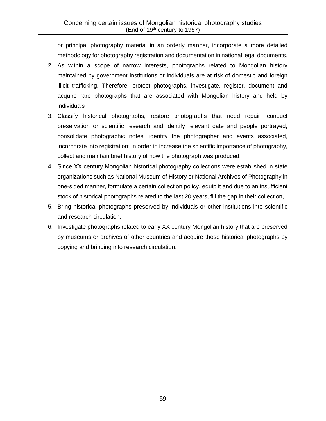or principal photography material in an orderly manner, incorporate a more detailed methodology for photography registration and documentation in national legal documents,

- 2. As within a scope of narrow interests, photographs related to Mongolian history maintained by government institutions or individuals are at risk of domestic and foreign illicit trafficking. Therefore, protect photographs, investigate, register, document and acquire rare photographs that are associated with Mongolian history and held by individuals
- 3. Classify historical photographs, restore photographs that need repair, conduct preservation or scientific research and identify relevant date and people portrayed, consolidate photographic notes, identify the photographer and events associated, incorporate into registration; in order to increase the scientific importance of photography, collect and maintain brief history of how the photograph was produced,
- 4. Since XX century Mongolian historical photography collections were established in state organizations such as National Museum of History or National Archives of Photography in one-sided manner, formulate a certain collection policy, equip it and due to an insufficient stock of historical photographs related to the last 20 years, fill the gap in their collection,
- 5. Bring historical photographs preserved by individuals or other institutions into scientific and research circulation,
- 6. Investigate photographs related to early XX century Mongolian history that are preserved by museums or archives of other countries and acquire those historical photographs by copying and bringing into research circulation.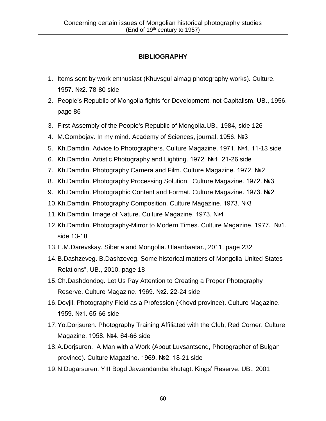# **BIBLIOGRAPHY**

- 1. Items sent by work enthusiast (Khuvsgul aimag photography works). Culture. 1957. №2. 78-80 side
- 2. People's Republic of Mongolia fights for Development, not Capitalism. UB., 1956. page 86
- 3. First Assembly of the People's Republic of Mongolia.UB., 1984, side 126
- 4. M.Gombojav. In my mind. Academy of Sciences, journal. 1956. №3
- 5. Kh.Damdin. Advice to Photographers. Culture Magazine. 1971. №4. 11-13 side
- 6. Kh.Damdin. Artistic Photography and Lighting. 1972. №1. 21-26 side
- 7. Kh.Damdin. Photography Camera and Film. Culture Magazine. 1972. №2
- 8. Kh.Damdin. Photography Processing Solution. Culture Magazine. 1972. №3
- 9. Kh.Damdin. Photographic Content and Format. Culture Magazine. 1973. №2
- 10.Kh.Damdin. Photography Composition. Culture Magazine. 1973. №3
- 11.Kh.Damdin. Image of Nature. Culture Magazine. 1973. №4
- 12.Kh.Damdin. Photography-Mirror to Modern Times. Culture Magazine. 1977. №1. side 13-18
- 13.E.M.Darevskay. Siberia and Mongolia. Ulaanbaatar., 2011. page 232
- 14.B.Dashzeveg. B.Dashzeveg. Some historical matters of Mongolia-United States Relations", UB., 2010. page 18
- 15.Ch.Dashdondog. Let Us Pay Attention to Creating a Proper Photography Reserve. Culture Magazine. 1969. №2. 22-24 side
- 16.Dovjil. Photography Field as a Profession (Khovd province). Culture Magazine. 1959. №1. 65-66 side
- 17.Yo.Dorjsuren. Photography Training Affiliated with the Club, Red Corner. Culture Magazine. 1958. №4. 64-66 side
- 18.A.Dorjsuren. A Man with a Work (About Luvsantsend, Photographer of Bulgan province). Culture Magazine. 1969, №2. 18-21 side
- 19.N.Dugarsuren. YIII Bogd Javzandamba khutagt. Kings' Reserve. UB., 2001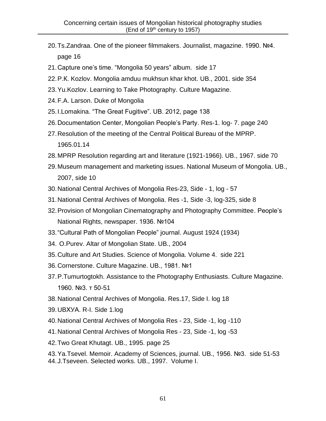- 20.Ts.Zandraa. One of the pioneer filmmakers. Journalist, magazine. 1990. №4. page 16
- 21.Capture one's time. "Mongolia 50 years" album. side 17
- 22.P.К. Kozlov. Mongolia amduu mukhsun khar khot. UB., 2001. side 354
- 23.Yu.Kozlov. Learning to Take Photography. Culture Magazine.
- 24.F.A. Larson. Duke of Mongolia
- 25.I.Lomakina. "The Great Fugitive". UB. 2012, page 138
- 26.Documentation Center, Mongolian People's Party. Res-1. log- 7. page 240
- 27.Resolution of the meeting of the Central Political Bureau of the MPRP. 1965.01.14
- 28.MPRP Resolution regarding art and literature (1921-1966). UB., 1967. side 70
- 29.Museum management and marketing issues. National Museum of Mongolia. UB., 2007, side 10
- 30.National Central Archives of Mongolia Res-23, Side 1, log 57
- 31.National Central Archives of Mongolia. Res -1, Side -3, log-325, side 8
- 32.Provision of Mongolian Cinematography and Photography Committee. People's National Rights, newspaper. 1936. №104
- 33."Cultural Path of Mongolian People" journal. August 1924 (1934)
- 34. O.Purev. Altar of Mongolian State. UB., 2004
- 35.Culture and Art Studies. Science of Mongolia. Volume 4. side 221
- 36.Cornerstone. Culture Magazine. UB., 1981. №1
- 37.P.Tumurtogtokh. Assistance to the Photography Enthusiasts. Culture Magazine. 1960. №3. т 50-51
- 38.National Central Archives of Mongolia. Res.17, Side I. log 18
- 39.UBХУА. R-I. Side 1.log
- 40.National Central Archives of Mongolia Res 23, Side -1, log -110
- 41.National Central Archives of Mongolia Res 23, Side -1, log -53
- 42.Two Great Khutagt. UB., 1995. page 25

43.Ya.Tsevel. Memoir. Academy of Sciences, journal. UB., 1956. №3. side 51-53 44.J.Tseveen. Selected works. UB., 1997. Volume I.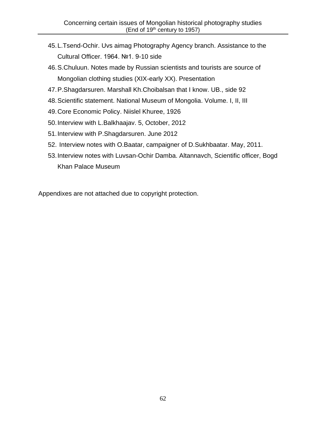- 45.L.Tsend-Ochir. Uvs aimag Photography Agency branch. Assistance to the Cultural Officer. 1964. №1. 9-10 side
- 46.S.Chuluun. Notes made by Russian scientists and tourists are source of Mongolian clothing studies (XIX-early XX). Presentation
- 47.P.Shagdarsuren. Marshall Kh.Choibalsan that I know. UB., side 92
- 48.Scientific statement. National Museum of Mongolia. Volume. I, II, III
- 49.Core Economic Policy. Niislel Khuree, 1926
- 50.Interview with L.Balkhaajav. 5, October, 2012
- 51.Interview with P.Shagdarsuren. June 2012
- 52. Interview notes with O.Baatar, campaigner of D.Sukhbaatar. May, 2011.
- 53.Interview notes with Luvsan-Ochir Damba. Altannavch, Scientific officer, Bogd Khan Palace Museum

Appendixes are not attached due to copyright protection.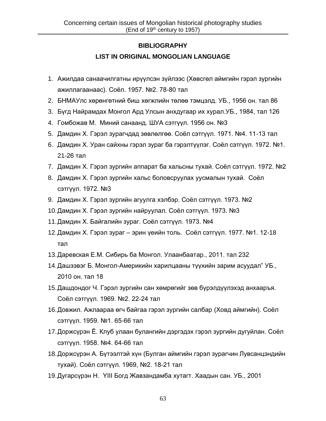## **BIBLIOGRAPHY**

# **LIST IN ORIGINAL MONGOLIAN LANGUAGE**

- 1. Ажилдаа санаачилгатны ирүүлсэн зүйлээс (Хөвсгөл аймгийн гэрэл зургийн ажиллагаанаас). Соёл. 1957. №2. 78-80 тал
- 2. БНМАУлс хөрөнгөтний биш хөгжлийн төлөө тэмцэлд. УБ., 1956 он. тал 86
- 3. Бүгд Найрамдах Монгол Ард Улсын анхдугаар их хурал.УБ., 1984, тал 126
- 4. Гомбожав М. Миний санаанд. ШУА сэтгүүл. 1956 он. №3
- 5. Дамдин Х. Гэрэл зурагчдад зөвлөлгөө. Соёл сэтгүүл. 1971. №4. 11-13 тал
- 6. Дамдин Х. Уран сайхны гэрэл зураг ба гэрэлтүүлэг. Соёл сэтгүүл. 1972. №1. 21-26 тал
- 7. Дамдин Х. Гэрэл зургийн аппарат ба хальсны тухай. Соёл сэтгүүл. 1972. №2
- 8. Дамдин Х. Гэрэл зургийн хальс боловсруулах уусмалын тухай. Соёл сэтгүүл. 1972. №3
- 9. Дамдин Х. Гэрэл зургийн агуулга хэлбэр. Соёл сэтгүүл. 1973. №2
- 10.Дамдин Х. Гэрэл зургийн найруулал. Соёл сэтгүүл. 1973. №3
- 11.Дамдин Х. Байгалийн зураг. Соёл сэтгүүл. 1973. №4
- 12.Дамдин Х. Гэрэл зураг эрин үеийн толь. Соёл сэтгүүл. 1977. №1. 12-18 тал
- 13.Даревская Е.М. Сибирь ба Монгол. Улаанбаатар., 2011. тал 232
- 14.Дашзэвэг Б. Монгол-Америкийн харилцааны түүхийн зарим асуудал" УБ., 2010 он. тал 18
- 15.Дашдондог Ч. Гэрэл зургийн сан хөмрөгийг зөв бүрэлдүүлэхэд анхааръя. Соёл сэтгүүл. 1969. №2. 22-24 тал
- 16.Довжил. Ажлаараа өгч байгаа гэрэл зургийн салбар (Ховд аймгийн). Соёл сэтгүүл. 1959. №1. 65-66 тал
- 17.Доржсүрэн Ё. Клуб улаан булангийн дэргэдэх гэрэл зургийн дугуйлан. Соёл сэтгүүл. 1958. №4. 64-66 тал
- 18.Доржсүрэн А. Бүтээлтэй хүн (Булган аймгийн гэрэл зурагчин Лувсанцэндийн тухай). Соёл сэтгүүл. 1969, №2. 18-21 тал
- 19.Дугарсүрэн Н. YIII Богд Жавзандамба хутагт. Хаадын сан. УБ., 2001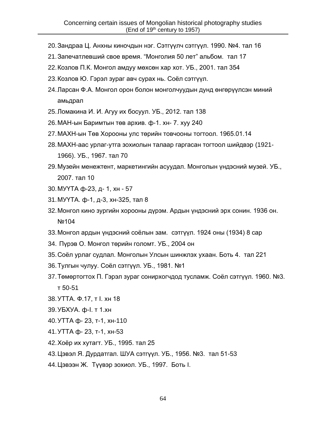- 20.Зандраа Ц. Анхны киночдын нэг. Сэтгүүлч сэтгүүл. 1990. №4. тал 16
- 21.Запечатлевший свое время. "Монголия 50 лет" альбом. тал 17
- 22.Козлов П.К. Монгол амдуу мөхсөн хар хот. УБ., 2001. тал 354
- 23.Козлов Ю. Гэрэл зураг авч сурах нь. Соёл сэтгүүл.
- 24.Ларсан Ф.А. Монгол орон болон монголчуудын дунд өнгөрүүлсэн миний амьдрал
- 25.Ломакина И. И. Агуу их босуул. УБ., 2012. тал 138
- 26.МАН-ын Баримтын төв архив. ф-1. хн- 7. хуу 240
- 27.МАХН-ын Төв Хорооны улс төрийн товчооны тогтоол. 1965.01.14
- 28.МАХН-аас урлаг-утга зохиолын талаар гаргасан тогтоол шийдвэр (1921- 1966). УБ., 1967. тал 70
- 29.Музейн менежтент, маркетингийн асуудал. Монголын үндэсний музей. УБ., 2007. тал 10
- 30.МУҮТА ф-23, д- 1, хн 57
- 31.МУҮТА. ф-1, д-3, хн-325, тал 8
- 32.Монгол кино зургийн хорооны дүрэм. Ардын үндэсний эрх сонин. 1936 он. №104
- 33.Монгол ардын үндэсний соёлын зам. сэтгүүл. 1924 оны (1934) 8 сар
- 34. Пүрэв О. Монгол төрийн голомт. УБ., 2004 он
- 35.Соёл урлаг судлал. Монголын Улсын шинжлэх ухаан. Боть 4. тал 221
- 36.Тулгын чулуу. Соёл сэтгүүл. УБ., 1981. №1
- 37.Төмөртогтох П. Гэрэл зураг сонирхогчдод тусламж. Соёл сэтгүүл. 1960. №3. т 50-51
- 38.УТТА. Ф.17, т I. хн 18
- 39.УБХУА. ф-I. т 1.хн
- 40.УТТА ф- 23, т-1, хн-110
- 41.УТТА ф- 23, т-1, хн-53
- 42.Хоёр их хутагт. УБ., 1995. тал 25
- 43.Цэвэл Я. Дурдатгал. ШУА сэтгүүл. УБ., 1956. №3. тал 51-53
- 44.Цэвээн Ж. Түүвэр зохиол. УБ., 1997. Боть I.